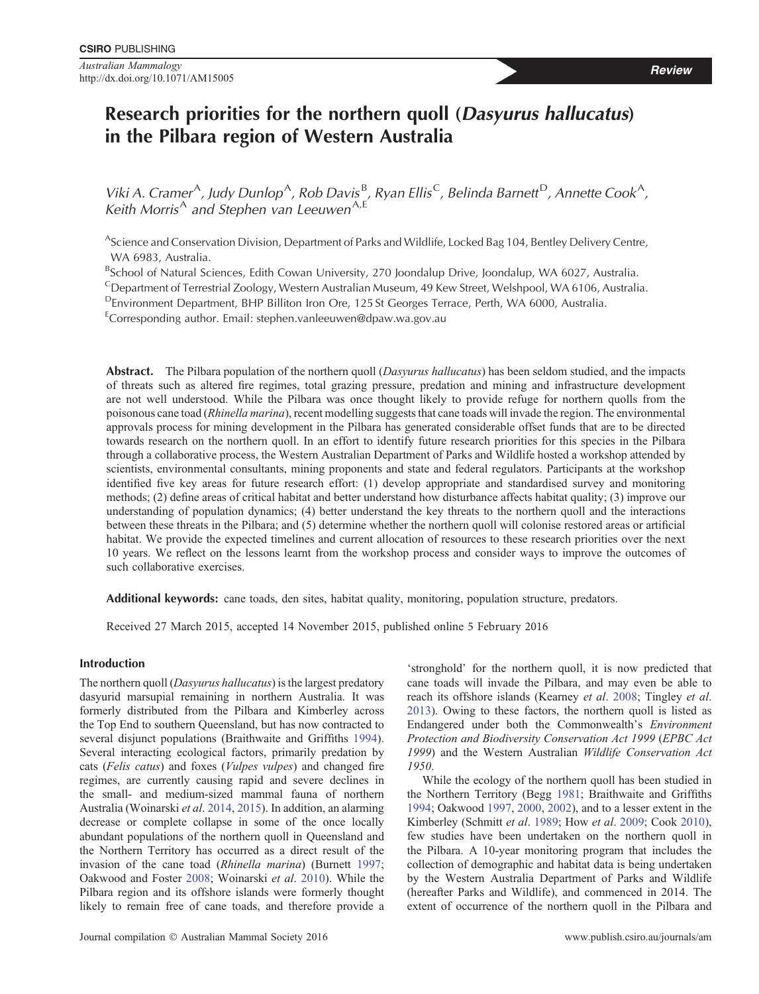# **Research priorities for the northern quoll (***Dasyurus hallucatus***) in the Pilbara region of Western Australia**

Viki A. Cramer<sup>A</sup>, Judy Dunlop<sup>A</sup>, Rob Davis<sup>B</sup>, Ryan Ellis<sup>C</sup>, Belinda Barnett<sup>D</sup>, Annette Cook<sup>A</sup>, *Keith Morris*<sup>A</sup> *and Stephen van Leeuwen*A*,*<sup>E</sup>

AScience and Conservation Division, Department of Parks and Wildlife, Locked Bag 104, Bentley Delivery Centre, WA 6983, Australia.

<sup>B</sup>School of Natural Sciences, Edith Cowan University, 270 Joondalup Drive, Joondalup, WA 6027, Australia.

CDepartment of Terrestrial Zoology, Western Australian Museum, 49 Kew Street, Welshpool, WA 6106, Australia.

DEnvironment Department, BHP Billiton Iron Ore, 125 St Georges Terrace, Perth, WA 6000, Australia.

<sup>E</sup>Corresponding author. Email: [stephen.vanleeuwen@dpaw.wa.gov.au](mailto:stephen.vanleeuwen@dpaw.wa.gov.au)

**Abstract.** The Pilbara population of the northern quoll (*Dasyurus hallucatus*) has been seldom studied, and the impacts of threats such as altered fire regimes, total grazing pressure, predation and mining and infrastructure development are not well understood. While the Pilbara was once thought likely to provide refuge for northern quolls from the poisonous cane toad (*Rhinella marina*), recent modelling suggests that cane toads will invade the region. The environmental approvals process for mining development in the Pilbara has generated considerable offset funds that are to be directed towards research on the northern quoll. In an effort to identify future research priorities for this species in the Pilbara through a collaborative process, the Western Australian Department of Parks and Wildlife hosted a workshop attended by scientists, environmental consultants, mining proponents and state and federal regulators. Participants at the workshop identified five key areas for future research effort: (1) develop appropriate and standardised survey and monitoring methods; (2) define areas of critical habitat and better understand how disturbance affects habitat quality; (3) improve our understanding of population dynamics; (4) better understand the key threats to the northern quoll and the interactions between these threats in the Pilbara; and (5) determine whether the northern quoll will colonise restored areas or artificial habitat. We provide the expected timelines and current allocation of resources to these research priorities over the next 10 years. We reflect on the lessons learnt from the workshop process and consider ways to improve the outcomes of such collaborative exercises.

**Additional keywords:** cane toads, den sites, habitat quality, monitoring, population structure, predators.

Received 27 March 2015, accepted 14 November 2015, published online 5 February 2016

## **Introduction**

The northern quoll (*Dasyurus hallucatus*) is the largest predatory dasyurid marsupial remaining in northern Australia. It was formerly distributed from the Pilbara and Kimberley across the Top End to southern Queensland, but has now contracted to several disjunct populations (Braithwaite and Griffiths [1994](#page-11-0)). Several interacting ecological factors, primarily predation by cats (*Felis catus*) and foxes (*Vulpes vulpes*) and changed fire regimes, are currently causing rapid and severe declines in the small- and medium-sized mammal fauna of northern Australia (Woinarski *et al*. [2014,](#page-13-0) [2015](#page-13-0)). In addition, an alarming decrease or complete collapse in some of the once locally abundant populations of the northern quoll in Queensland and the Northern Territory has occurred as a direct result of the invasion of the cane toad (*Rhinella marina*) (Burnett [1997;](#page-11-0) Oakwood and Foster [2008;](#page-12-0) Woinarski *et al*. [2010](#page-13-0)). While the Pilbara region and its offshore islands were formerly thought likely to remain free of cane toads, and therefore provide a 'stronghold' for the northern quoll, it is now predicted that cane toads will invade the Pilbara, and may even be able to reach its offshore islands (Kearney *et al*. [2008](#page-12-0); Tingley *et al*. [2013](#page-13-0)). Owing to these factors, the northern quoll is listed as Endangered under both the Commonwealth's *Environment Protection and Biodiversity Conservation Act 1999* (*EPBC Act 1999*) and the Western Australian *Wildlife Conservation Act 1950*.

While the ecology of the northern quoll has been studied in the Northern Territory (Begg [1981;](#page-11-0) Braithwaite and Griffiths [1994](#page-11-0); Oakwood [1997](#page-12-0), [2000,](#page-12-0) [2002\)](#page-12-0), and to a lesser extent in the Kimberley (Schmitt *et al*. [1989](#page-13-0); How *et al*. [2009](#page-12-0); Cook [2010](#page-11-0)), few studies have been undertaken on the northern quoll in the Pilbara. A 10-year monitoring program that includes the collection of demographic and habitat data is being undertaken by the Western Australia Department of Parks and Wildlife (hereafter Parks and Wildlife), and commenced in 2014. The extent of occurrence of the northern quoll in the Pilbara and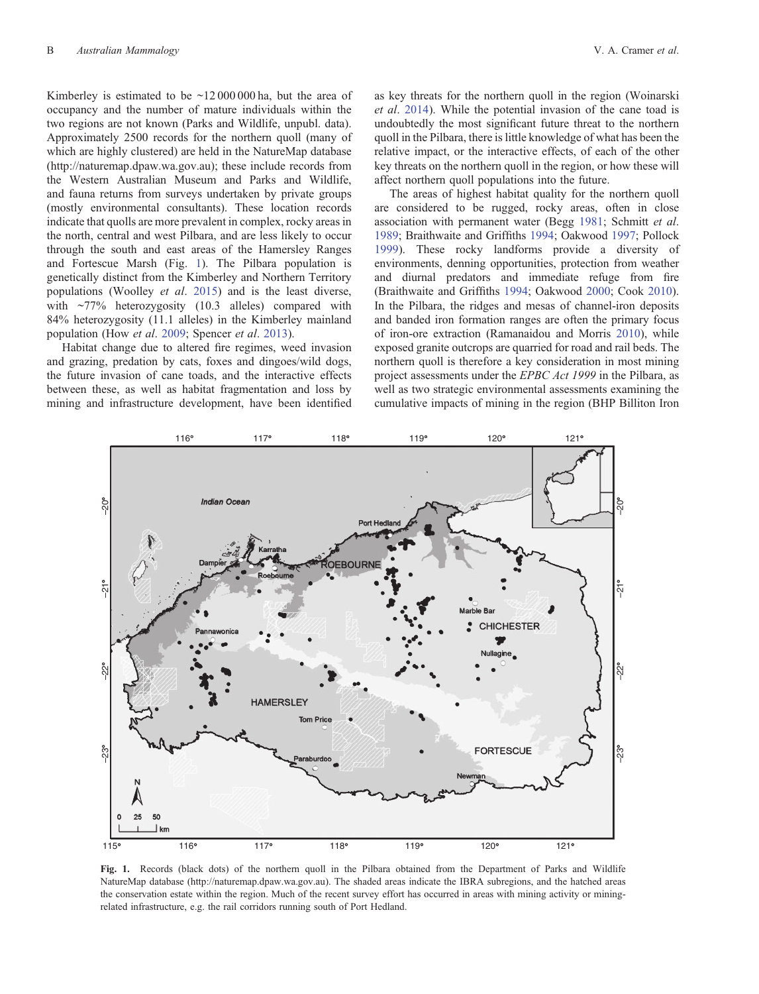<span id="page-1-0"></span>Kimberley is estimated to be  $\sim$ 12000000 ha, but the area of occupancy and the number of mature individuals within the two regions are not known (Parks and Wildlife, unpubl. data). Approximately 2500 records for the northern quoll (many of which are highly clustered) are held in the NatureMap database (<http://naturemap.dpaw.wa.gov.au>); these include records from the Western Australian Museum and Parks and Wildlife, and fauna returns from surveys undertaken by private groups (mostly environmental consultants). These location records indicate that quolls are more prevalent in complex, rocky areas in the north, central and west Pilbara, and are less likely to occur through the south and east areas of the Hamersley Ranges and Fortescue Marsh (Fig. 1). The Pilbara population is genetically distinct from the Kimberley and Northern Territory populations (Woolley *et al*. [2015\)](#page-13-0) and is the least diverse, with  $\sim$ 77% heterozygosity (10.3 alleles) compared with 84% heterozygosity (11.1 alleles) in the Kimberley mainland population (How *et al*. [2009;](#page-12-0) Spencer *et al*. [2013\)](#page-13-0).

Habitat change due to altered fire regimes, weed invasion and grazing, predation by cats, foxes and dingoes/wild dogs, the future invasion of cane toads, and the interactive effects between these, as well as habitat fragmentation and loss by mining and infrastructure development, have been identified as key threats for the northern quoll in the region (Woinarski *et al*. [2014\)](#page-13-0). While the potential invasion of the cane toad is undoubtedly the most significant future threat to the northern quoll in the Pilbara, there is little knowledge of what has been the relative impact, or the interactive effects, of each of the other key threats on the northern quoll in the region, or how these will affect northern quoll populations into the future.

The areas of highest habitat quality for the northern quoll are considered to be rugged, rocky areas, often in close association with permanent water (Begg [1981](#page-11-0); Schmitt *et al*. [1989;](#page-13-0) Braithwaite and Griffiths [1994;](#page-11-0) Oakwood [1997;](#page-12-0) Pollock [1999\)](#page-12-0). These rocky landforms provide a diversity of environments, denning opportunities, protection from weather and diurnal predators and immediate refuge from fire (Braithwaite and Griffiths [1994](#page-11-0); Oakwood [2000](#page-12-0); Cook [2010](#page-11-0)). In the Pilbara, the ridges and mesas of channel-iron deposits and banded iron formation ranges are often the primary focus of iron-ore extraction (Ramanaidou and Morris [2010\)](#page-13-0), while exposed granite outcrops are quarried for road and rail beds. The northern quoll is therefore a key consideration in most mining project assessments under the *EPBC Act 1999* in the Pilbara, as well as two strategic environmental assessments examining the cumulative impacts of mining in the region (BHP Billiton Iron



**Fig. 1.** Records (black dots) of the northern quoll in the Pilbara obtained from the Department of Parks and Wildlife NatureMap database (<http://naturemap.dpaw.wa.gov.au>). The shaded areas indicate the IBRA subregions, and the hatched areas the conservation estate within the region. Much of the recent survey effort has occurred in areas with mining activity or miningrelated infrastructure, e.g. the rail corridors running south of Port Hedland.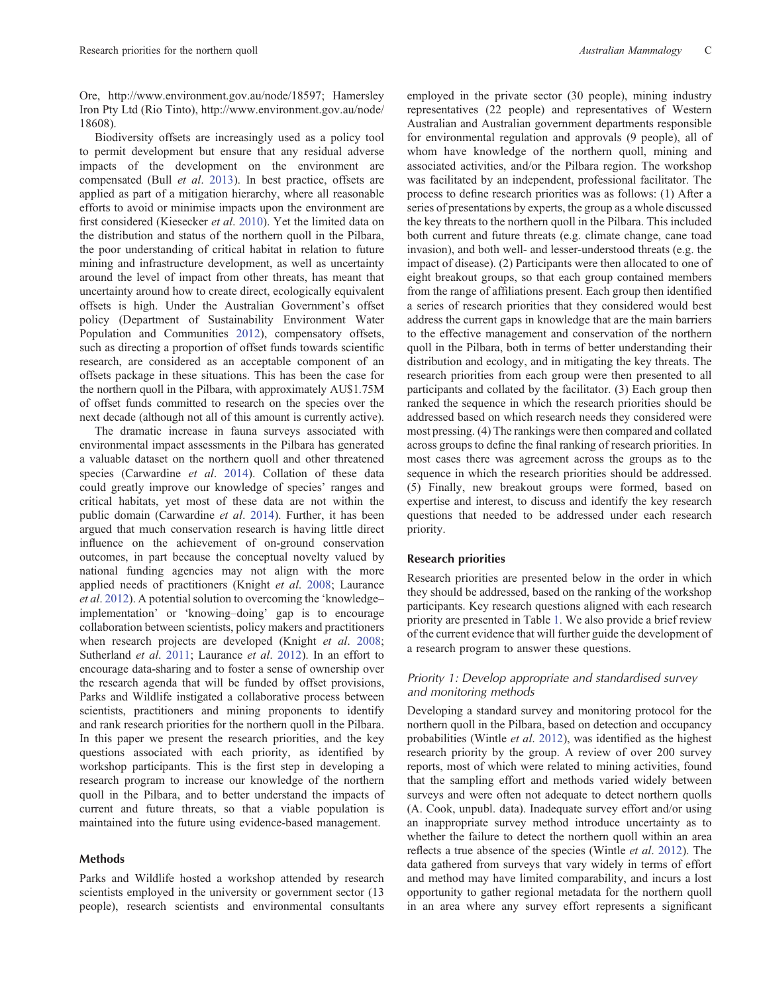Ore,<http://www.environment.gov.au/node/18597>; Hamersley Iron Pty Ltd (Rio Tinto), [http://www.environment.gov.au/node/](http://www.environment.gov.au/node/18608) [18608](http://www.environment.gov.au/node/18608)).

Biodiversity offsets are increasingly used as a policy tool to permit development but ensure that any residual adverse impacts of the development on the environment are compensated (Bull *et al*. [2013](#page-11-0)). In best practice, offsets are applied as part of a mitigation hierarchy, where all reasonable efforts to avoid or minimise impacts upon the environment are first considered (Kiesecker *et al*. [2010](#page-12-0)). Yet the limited data on the distribution and status of the northern quoll in the Pilbara, the poor understanding of critical habitat in relation to future mining and infrastructure development, as well as uncertainty around the level of impact from other threats, has meant that uncertainty around how to create direct, ecologically equivalent offsets is high. Under the Australian Government's offset policy (Department of Sustainability Environment Water Population and Communities [2012](#page-11-0)), compensatory offsets, such as directing a proportion of offset funds towards scientific research, are considered as an acceptable component of an offsets package in these situations. This has been the case for the northern quoll in the Pilbara, with approximately AU\$1.75M of offset funds committed to research on the species over the next decade (although not all of this amount is currently active).

The dramatic increase in fauna surveys associated with environmental impact assessments in the Pilbara has generated a valuable dataset on the northern quoll and other threatened species (Carwardine *et al*. [2014\)](#page-11-0). Collation of these data could greatly improve our knowledge of species' ranges and critical habitats, yet most of these data are not within the public domain (Carwardine *et al*. [2014](#page-11-0)). Further, it has been argued that much conservation research is having little direct influence on the achievement of on-ground conservation outcomes, in part because the conceptual novelty valued by national funding agencies may not align with the more applied needs of practitioners (Knight *et al*. [2008;](#page-12-0) Laurance *et al*. [2012](#page-12-0)). A potential solution to overcoming the 'knowledge– implementation' or 'knowing–doing' gap is to encourage collaboration between scientists, policy makers and practitioners when research projects are developed (Knight *et al*. [2008;](#page-12-0) Sutherland *et al*. [2011](#page-13-0); Laurance *et al*. [2012\)](#page-12-0). In an effort to encourage data-sharing and to foster a sense of ownership over the research agenda that will be funded by offset provisions, Parks and Wildlife instigated a collaborative process between scientists, practitioners and mining proponents to identify and rank research priorities for the northern quoll in the Pilbara. In this paper we present the research priorities, and the key questions associated with each priority, as identified by workshop participants. This is the first step in developing a research program to increase our knowledge of the northern quoll in the Pilbara, and to better understand the impacts of current and future threats, so that a viable population is maintained into the future using evidence-based management.

## **Methods**

Parks and Wildlife hosted a workshop attended by research scientists employed in the university or government sector (13 people), research scientists and environmental consultants

employed in the private sector (30 people), mining industry representatives (22 people) and representatives of Western Australian and Australian government departments responsible for environmental regulation and approvals (9 people), all of whom have knowledge of the northern quoll, mining and associated activities, and/or the Pilbara region. The workshop was facilitated by an independent, professional facilitator. The process to define research priorities was as follows: (1) After a series of presentations by experts, the group as a whole discussed the key threats to the northern quoll in the Pilbara. This included both current and future threats (e.g. climate change, cane toad invasion), and both well- and lesser-understood threats (e.g. the impact of disease). (2) Participants were then allocated to one of eight breakout groups, so that each group contained members from the range of affiliations present. Each group then identified a series of research priorities that they considered would best address the current gaps in knowledge that are the main barriers to the effective management and conservation of the northern quoll in the Pilbara, both in terms of better understanding their distribution and ecology, and in mitigating the key threats. The research priorities from each group were then presented to all participants and collated by the facilitator. (3) Each group then ranked the sequence in which the research priorities should be addressed based on which research needs they considered were most pressing. (4) The rankings were then compared and collated across groups to define the final ranking of research priorities. In most cases there was agreement across the groups as to the sequence in which the research priorities should be addressed. (5) Finally, new breakout groups were formed, based on expertise and interest, to discuss and identify the key research questions that needed to be addressed under each research priority.

## **Research priorities**

Research priorities are presented below in the order in which they should be addressed, based on the ranking of the workshop participants. Key research questions aligned with each research priority are presented in Table [1.](#page-3-0) We also provide a brief review of the current evidence that will further guide the development of a research program to answer these questions.

## *Priority 1: Develop appropriate and standardised survey and monitoring methods*

Developing a standard survey and monitoring protocol for the northern quoll in the Pilbara, based on detection and occupancy probabilities (Wintle *et al*. [2012\)](#page-13-0), was identified as the highest research priority by the group. A review of over 200 survey reports, most of which were related to mining activities, found that the sampling effort and methods varied widely between surveys and were often not adequate to detect northern quolls (A. Cook, unpubl. data). Inadequate survey effort and/or using an inappropriate survey method introduce uncertainty as to whether the failure to detect the northern quoll within an area reflects a true absence of the species (Wintle *et al*. [2012](#page-13-0)). The data gathered from surveys that vary widely in terms of effort and method may have limited comparability, and incurs a lost opportunity to gather regional metadata for the northern quoll in an area where any survey effort represents a significant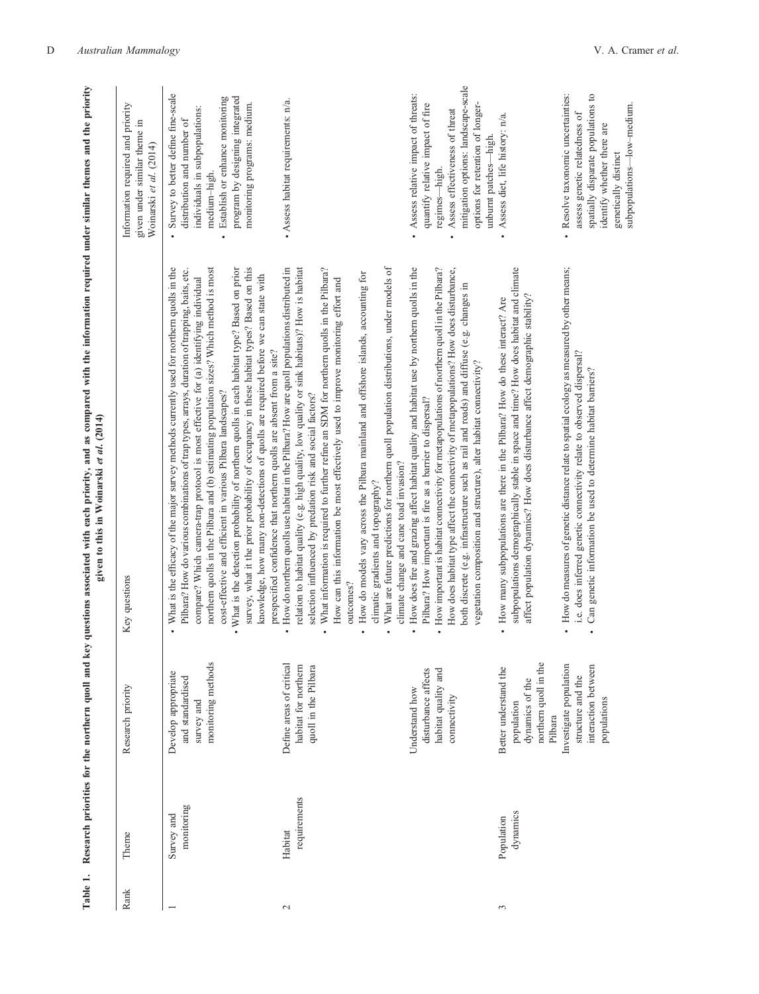<span id="page-3-0"></span>

| Table 1.      |                          | Research priorities for the northern quoll and key                                         | questions associated with each priority, and as compared with the information required under similar themes and the priority<br>given to this in Woinarski et al. (2014)                                                                                                                                                                                                                                                                                                                                                                                                                                                                                                                                                                                                                                |                                                                                                                                                                                                                                                         |
|---------------|--------------------------|--------------------------------------------------------------------------------------------|---------------------------------------------------------------------------------------------------------------------------------------------------------------------------------------------------------------------------------------------------------------------------------------------------------------------------------------------------------------------------------------------------------------------------------------------------------------------------------------------------------------------------------------------------------------------------------------------------------------------------------------------------------------------------------------------------------------------------------------------------------------------------------------------------------|---------------------------------------------------------------------------------------------------------------------------------------------------------------------------------------------------------------------------------------------------------|
| Rank          | Theme                    | Research priority                                                                          | Key questions                                                                                                                                                                                                                                                                                                                                                                                                                                                                                                                                                                                                                                                                                                                                                                                           | Information required and priority<br>given under similar theme in<br>Woinarski et al. (2014)                                                                                                                                                            |
|               | monitoring<br>Survey and | monitoring methods<br>Develop appropriate<br>and standardised<br>survey and                | northern quolls in the Pilbara and (b) estimating population sizes? Which method is most<br>What is the efficacy of the major survey methods currently used for northern quolls in the<br>survey, what it the prior probability of occupancy in these habitat types? Based on this<br>. What is the detection probability of northern quolls in each habitat type? Based on prior<br>Pilbara? How do various combinations of trap types, arrays, duration of trapping, baits, etc.<br>knowledge, how many non-detections of quolls are required before we can state with<br>compare? Which camera-trap protocol is most effective for (a) identifying individual<br>prespecified confidence that northern quolls are absent from a site?<br>cost-effective and efficient in various Pilbara landscapes? | Survey to better define fine-scale<br>program by designing integrated<br>Establish or enhance monitoring<br>monitoring programs: medium.<br>individuals in subpopulations:<br>distribution and number of<br>medium-high.<br>$\bullet$<br>$\bullet$      |
| $\mathcal{L}$ | requirements<br>Habitat  | Define areas of critical<br>habitat for northern<br>quoll in the Pilbara                   | What are future predictions for northern quoll population distributions, under models of<br>How do northern quolls use habitat in the Pilbara? How are quoll populations distributed in<br>relation to habitat quality (e.g. high quality, low quality or sink habitats)? How is habitat<br>What information is required to further refine an SDM for northern quolls in the Pilbara?<br>How do models vary across the Pilbara mainland and offshore islands, accounting for<br>How can this information be most effectively used to improve monitoring effort and<br>selection influenced by predation risk and social factors?<br>climate change and cane toad invasion?<br>climatic gradients and topography?<br>outcomes?                                                                           | • Assess habitat requirements: n/a.                                                                                                                                                                                                                     |
|               |                          | disturbance affects<br>habitat quality and<br>Understand how<br>connectivity               | How does fire and grazing affect habitat quality and habitat use by northern quolls in the<br>How important is habitat connectivity for metapopulations of northern quoll in the Pilbara?<br>How does habitat type affect the connectivity of metapopulations? How does disturbance,<br>both discrete (e.g. infrastructure such as rail and roads) and diffuse (e.g. changes in<br>vegetation composition and structure), alter habitat connectivity?<br>Pilbara? How important is fire as a barrier to dispersal?                                                                                                                                                                                                                                                                                      | mitigation options: landscape-scale<br>Assess relative impact of threats:<br>options for retention of longer-<br>quantify relative impact of fire<br>Assess effectiveness of threat<br>unburnt patches-high.<br>regimes-high.<br>$\bullet$<br>$\bullet$ |
| $\sim$        | dynamics<br>Population   | northern quoll in the<br>Better understand the<br>dynamics of the<br>population<br>Pilbara | subpopulations demographically stable in space and time? How does habitat and climate<br>affect population dynamics? How does disturbance affect demographic stability?<br>How many subpopulations are there in the Pilbara? How do these interact? Are                                                                                                                                                                                                                                                                                                                                                                                                                                                                                                                                                 | Assess diet, life history: n/a.<br>٠                                                                                                                                                                                                                    |
|               |                          | Investigate population<br>interaction between<br>structure and the<br>populations          | How do measures of genetic distance relate to spatial ecology as measured by other means;<br>i.e. does inferred genetic connectivity relate to observed dispersal?<br>Can genetic information be used to determine habitat barriers?                                                                                                                                                                                                                                                                                                                                                                                                                                                                                                                                                                    | spatially disparate populations to<br>Resolve taxonomic uncertainties:<br>subpopulations-low-medium.<br>assess genetic relatedness<br>identify whether there are<br>genetically distinct<br>$\bullet$                                                   |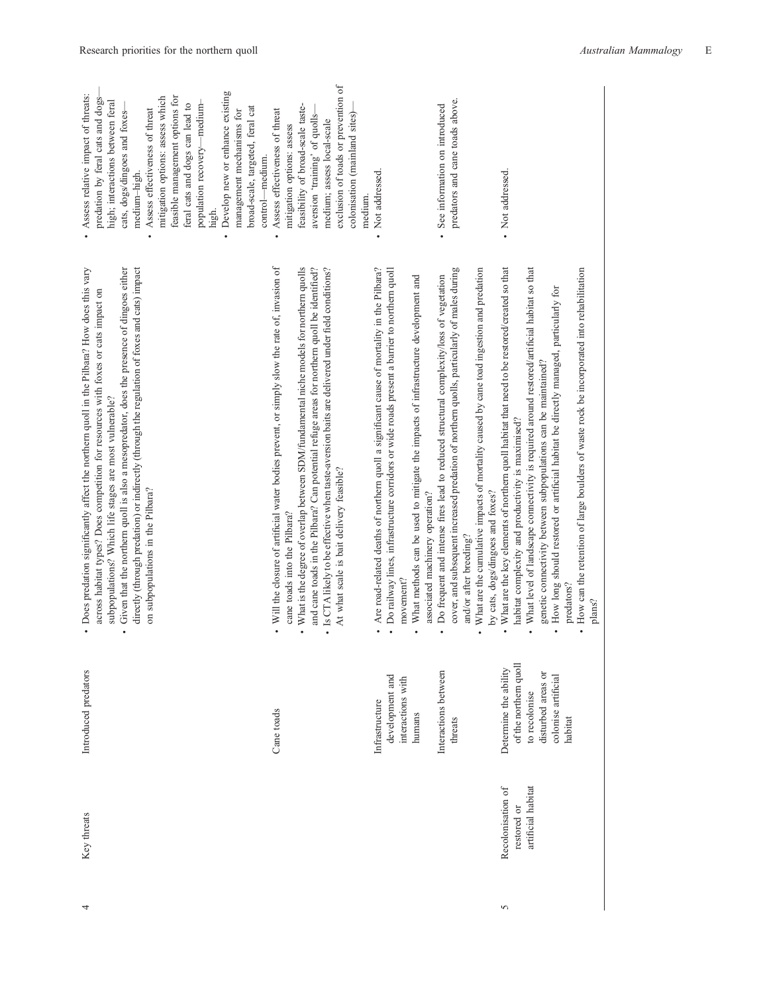| Develop new or enhance existing<br>Assess relative impact of threats:<br>feasible management options for<br>mitigation options: assess which<br>predation by feral cats and dogs-<br>high; interactions between feral<br>population recovery-medium-<br>feral cats and dogs can lead to<br>broad-scale, targeted, feral cat<br>Assess effectiveness of threat<br>management mechanisms for<br>cats, dogs/dingoes and foxes-<br>control—medium.<br>medium-high.<br>high.    | exclusion of toads or prevention of<br>feasibility of broad-scale taste-<br>Assess effectiveness of threat<br>colonisation (mainland sites)<br>aversion 'training' of quolls<br>medium; assess local-scale<br>mitigation options: assess<br>medium.                                                                                                                                                                                                                | Not addressed.                                                                                                                                                                                                                                                                                                                  | predators and cane toads above.<br>See information on introduced                                                                                                                                                                                                                                                                               | Not addressed.                                                                                                                                                                                                                                                                                                                                                                                                                                                                                                                               |
|----------------------------------------------------------------------------------------------------------------------------------------------------------------------------------------------------------------------------------------------------------------------------------------------------------------------------------------------------------------------------------------------------------------------------------------------------------------------------|--------------------------------------------------------------------------------------------------------------------------------------------------------------------------------------------------------------------------------------------------------------------------------------------------------------------------------------------------------------------------------------------------------------------------------------------------------------------|---------------------------------------------------------------------------------------------------------------------------------------------------------------------------------------------------------------------------------------------------------------------------------------------------------------------------------|------------------------------------------------------------------------------------------------------------------------------------------------------------------------------------------------------------------------------------------------------------------------------------------------------------------------------------------------|----------------------------------------------------------------------------------------------------------------------------------------------------------------------------------------------------------------------------------------------------------------------------------------------------------------------------------------------------------------------------------------------------------------------------------------------------------------------------------------------------------------------------------------------|
| Given that the northern quoll is also a mesopredator, does the presence of dingoes either<br>directly (through predation) or indirectly (through the regulation of foxes and cats) impact<br>Does predation significantly affect the northern quoll in the Pilbara? How does this vary<br>across habitat types? Does competition for resources with foxes or cats impact on<br>subpopulations? Which life stages are most vulnerable?<br>on subpopulations in the Pilbara? | Will the closure of artificial water bodies prevent, or simply slow the rate of, invasion of<br>What is the degree of overlap between SDM/fundamental niche models for northern quolls<br>and cane toads in the Pilbara? Can potential refuge areas for northern quoll be identified?<br>Is CTA likely to be effective when taste-aversion baits are delivered under field conditions?<br>At what scale is bait delivery feasible?<br>cane toads into the Pilbara? | Are road-related deaths of northern quoll a significant cause of mortality in the Pilbara?<br>Do railway lines, infrastructure corridors or wide roads present a barrier to northem quoll<br>What methods can be used to mitigate the impacts of infrastructure development and<br>associated machinery operation?<br>movement? | cover, and subsequent increased predation of northern quolls, particularly of males during<br>What are the cumulative impacts of mortality caused by cane toad ingestion and predation<br>Do frequent and intense fires lead to reduced structural complexity/loss of vegetation<br>by cats, dogs/dingoes and foxes?<br>and/or after breeding? | What are the key elements of northern quoll habitat that need to be restored/created so that<br>What level of landscape connectivity is required around restored/artificial habitat so that<br>How can the retention of large boulders of waste rock be incorporated into rehabilitation<br>How long should restored or artificial habitat be directly managed, particularly for<br>genetic connectivity between subpopulations can be maintained?<br>habitat complexity and productivity is maximised?<br>predators?<br>plans?<br>$\bullet$ |
| Introduced predators                                                                                                                                                                                                                                                                                                                                                                                                                                                       | Cane toads                                                                                                                                                                                                                                                                                                                                                                                                                                                         | development and<br>interactions with<br>Infrastructure<br>humans                                                                                                                                                                                                                                                                | Interactions between<br>threats                                                                                                                                                                                                                                                                                                                | of the northern quoll<br>Determine the ability<br>disturbed areas or<br>colonise artificial<br>to recolonise<br>habitat                                                                                                                                                                                                                                                                                                                                                                                                                      |
| Key threats                                                                                                                                                                                                                                                                                                                                                                                                                                                                |                                                                                                                                                                                                                                                                                                                                                                                                                                                                    |                                                                                                                                                                                                                                                                                                                                 |                                                                                                                                                                                                                                                                                                                                                | artificial habitat<br>Recolonisation of<br>restored or                                                                                                                                                                                                                                                                                                                                                                                                                                                                                       |
| 4                                                                                                                                                                                                                                                                                                                                                                                                                                                                          |                                                                                                                                                                                                                                                                                                                                                                                                                                                                    |                                                                                                                                                                                                                                                                                                                                 |                                                                                                                                                                                                                                                                                                                                                | 5                                                                                                                                                                                                                                                                                                                                                                                                                                                                                                                                            |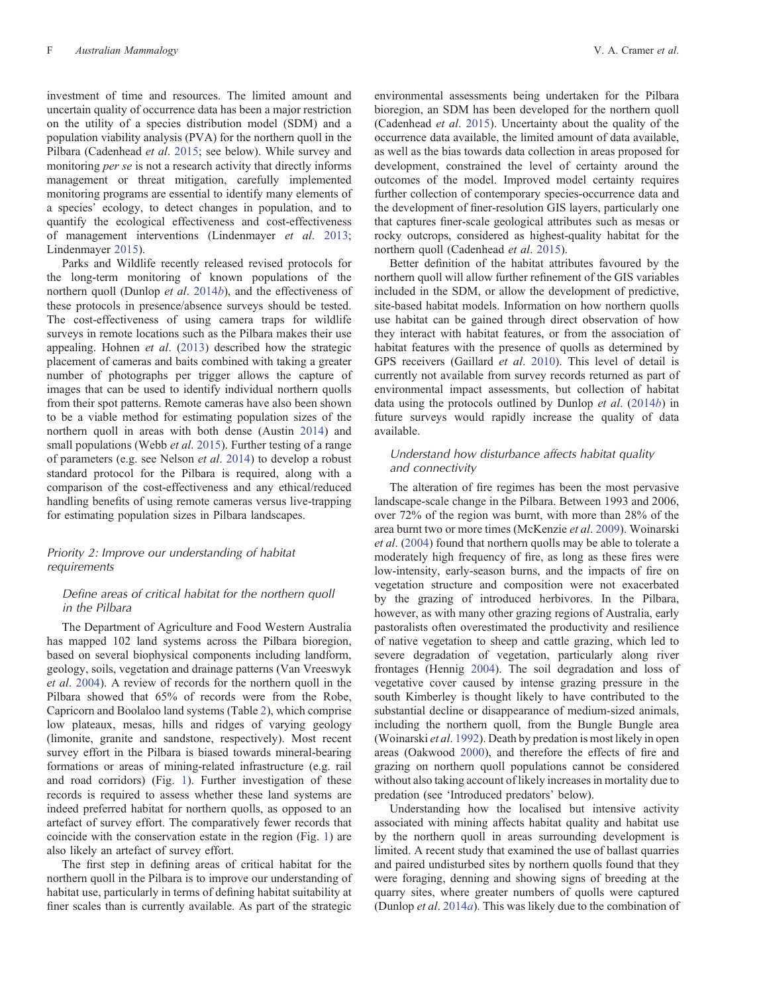investment of time and resources. The limited amount and uncertain quality of occurrence data has been a major restriction on the utility of a species distribution model (SDM) and a population viability analysis (PVA) for the northern quoll in the Pilbara (Cadenhead *et al*. [2015;](#page-11-0) see below). While survey and monitoring *per se* is not a research activity that directly informs management or threat mitigation, carefully implemented monitoring programs are essential to identify many elements of a species' ecology, to detect changes in population, and to quantify the ecological effectiveness and cost-effectiveness of management interventions (Lindenmayer *et al*. [2013](#page-12-0); Lindenmayer [2015\)](#page-12-0).

Parks and Wildlife recently released revised protocols for the long-term monitoring of known populations of the northern quoll (Dunlop *et al*. [2014](#page-11-0)*b*), and the effectiveness of these protocols in presence/absence surveys should be tested. The cost-effectiveness of using camera traps for wildlife surveys in remote locations such as the Pilbara makes their use appealing. Hohnen *et al*. ([2013\)](#page-11-0) described how the strategic placement of cameras and baits combined with taking a greater number of photographs per trigger allows the capture of images that can be used to identify individual northern quolls from their spot patterns. Remote cameras have also been shown to be a viable method for estimating population sizes of the northern quoll in areas with both dense (Austin [2014](#page-11-0)) and small populations (Webb *et al*. [2015](#page-13-0)). Further testing of a range of parameters (e.g. see Nelson *et al*. [2014](#page-12-0)) to develop a robust standard protocol for the Pilbara is required, along with a comparison of the cost-effectiveness and any ethical/reduced handling benefits of using remote cameras versus live-trapping for estimating population sizes in Pilbara landscapes.

## *Priority 2: Improve our understanding of habitat requirements*

#### *Define areas of critical habitat for the northern quoll in the Pilbara*

The Department of Agriculture and Food Western Australia has mapped 102 land systems across the Pilbara bioregion, based on several biophysical components including landform, geology, soils, vegetation and drainage patterns (Van Vreeswyk *et al*. [2004\)](#page-13-0). A review of records for the northern quoll in the Pilbara showed that 65% of records were from the Robe, Capricorn and Boolaloo land systems (Table [2](#page-6-0)), which comprise low plateaux, mesas, hills and ridges of varying geology (limonite, granite and sandstone, respectively). Most recent survey effort in the Pilbara is biased towards mineral-bearing formations or areas of mining-related infrastructure (e.g. rail and road corridors) (Fig. [1](#page-1-0)). Further investigation of these records is required to assess whether these land systems are indeed preferred habitat for northern quolls, as opposed to an artefact of survey effort. The comparatively fewer records that coincide with the conservation estate in the region (Fig. [1](#page-1-0)) are also likely an artefact of survey effort.

The first step in defining areas of critical habitat for the northern quoll in the Pilbara is to improve our understanding of habitat use, particularly in terms of defining habitat suitability at finer scales than is currently available. As part of the strategic environmental assessments being undertaken for the Pilbara bioregion, an SDM has been developed for the northern quoll (Cadenhead *et al*. [2015\)](#page-11-0). Uncertainty about the quality of the occurrence data available, the limited amount of data available, as well as the bias towards data collection in areas proposed for development, constrained the level of certainty around the outcomes of the model. Improved model certainty requires further collection of contemporary species-occurrence data and the development of finer-resolution GIS layers, particularly one that captures finer-scale geological attributes such as mesas or rocky outcrops, considered as highest-quality habitat for the northern quoll (Cadenhead *et al*. [2015](#page-11-0)).

Better definition of the habitat attributes favoured by the northern quoll will allow further refinement of the GIS variables included in the SDM, or allow the development of predictive, site-based habitat models. Information on how northern quolls use habitat can be gained through direct observation of how they interact with habitat features, or from the association of habitat features with the presence of quolls as determined by GPS receivers (Gaillard *et al*. [2010\)](#page-11-0). This level of detail is currently not available from survey records returned as part of environmental impact assessments, but collection of habitat data using the protocols outlined by Dunlop *et al*. [\(2014](#page-11-0)*b*) in future surveys would rapidly increase the quality of data available.

## *Understand how disturbance affects habitat quality and connectivity*

The alteration of fire regimes has been the most pervasive landscape-scale change in the Pilbara. Between 1993 and 2006, over 72% of the region was burnt, with more than 28% of the area burnt two or more times (McKenzie *et al*. [2009](#page-12-0)). Woinarski *et al*. ([2004\)](#page-13-0) found that northern quolls may be able to tolerate a moderately high frequency of fire, as long as these fires were low-intensity, early-season burns, and the impacts of fire on vegetation structure and composition were not exacerbated by the grazing of introduced herbivores. In the Pilbara, however, as with many other grazing regions of Australia, early pastoralists often overestimated the productivity and resilience of native vegetation to sheep and cattle grazing, which led to severe degradation of vegetation, particularly along river frontages (Hennig [2004](#page-11-0)). The soil degradation and loss of vegetative cover caused by intense grazing pressure in the south Kimberley is thought likely to have contributed to the substantial decline or disappearance of medium-sized animals, including the northern quoll, from the Bungle Bungle area (Woinarski *et al*. [1992\)](#page-13-0). Death by predation is most likely in open areas (Oakwood [2000](#page-12-0)), and therefore the effects of fire and grazing on northern quoll populations cannot be considered without also taking account of likely increases in mortality due to predation (see 'Introduced predators' below).

Understanding how the localised but intensive activity associated with mining affects habitat quality and habitat use by the northern quoll in areas surrounding development is limited. A recent study that examined the use of ballast quarries and paired undisturbed sites by northern quolls found that they were foraging, denning and showing signs of breeding at the quarry sites, where greater numbers of quolls were captured (Dunlop *et al*. [2014](#page-11-0)*a*). This was likely due to the combination of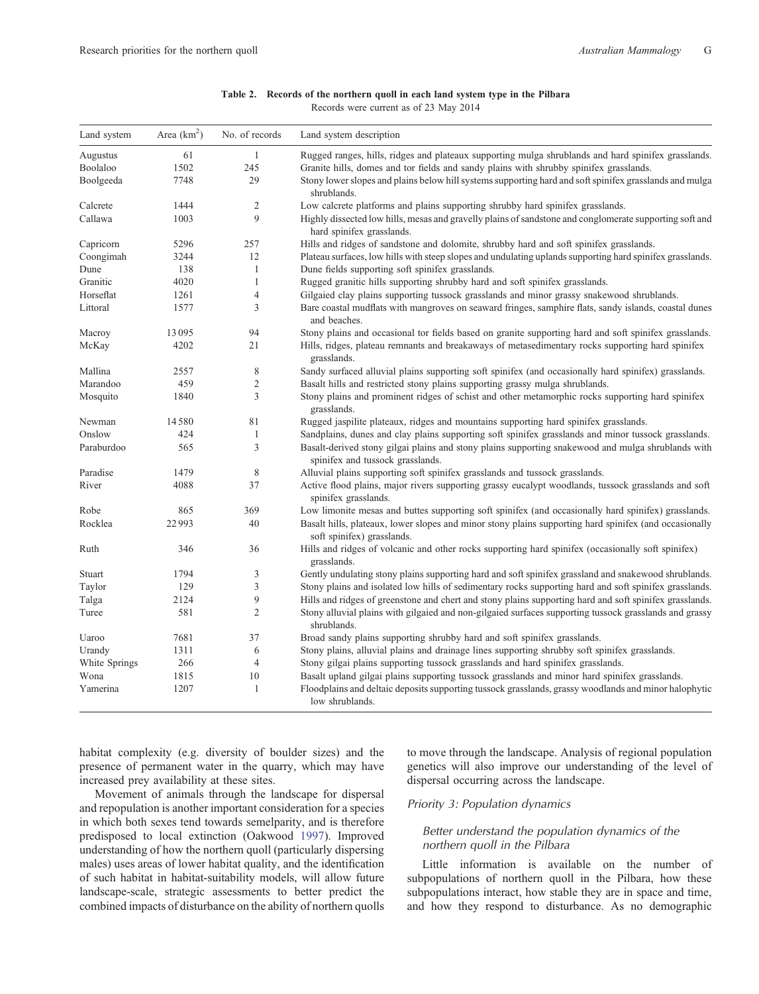## **Table 2. Records of the northern quoll in each land system type in the Pilbara**

Records were current as of 23 May 2014

<span id="page-6-0"></span>

| Land system   | Area $(km2)$ | No. of records | Land system description                                                                                                                |
|---------------|--------------|----------------|----------------------------------------------------------------------------------------------------------------------------------------|
| Augustus      | 61           | 1              | Rugged ranges, hills, ridges and plateaux supporting mulga shrublands and hard spinifex grasslands.                                    |
| Boolaloo      | 1502         | 245            | Granite hills, domes and tor fields and sandy plains with shrubby spinifex grasslands.                                                 |
| Boolgeeda     | 7748         | 29             | Stony lower slopes and plains below hill systems supporting hard and soft spinifex grasslands and mulga<br>shrublands.                 |
| Calcrete      | 1444         | $\sqrt{2}$     | Low calcrete platforms and plains supporting shrubby hard spinifex grasslands.                                                         |
| Callawa       | 1003         | 9              | Highly dissected low hills, mesas and gravelly plains of sandstone and conglomerate supporting soft and<br>hard spinifex grasslands.   |
| Capricorn     | 5296         | 257            | Hills and ridges of sandstone and dolomite, shrubby hard and soft spinifex grasslands.                                                 |
| Coongimah     | 3244         | 12             | Plateau surfaces, low hills with steep slopes and undulating uplands supporting hard spinifex grasslands.                              |
| Dune          | 138          | $\mathbf{1}$   | Dune fields supporting soft spinifex grasslands.                                                                                       |
| Granitic      | 4020         | $\mathbf{1}$   | Rugged granitic hills supporting shrubby hard and soft spinifex grasslands.                                                            |
| Horseflat     | 1261         | $\overline{4}$ | Gilgaied clay plains supporting tussock grasslands and minor grassy snakewood shrublands.                                              |
| Littoral      | 1577         | 3              | Bare coastal mudflats with mangroves on seaward fringes, samphire flats, sandy islands, coastal dunes<br>and beaches.                  |
| Macroy        | 13095        | 94             | Stony plains and occasional tor fields based on granite supporting hard and soft spinifex grasslands.                                  |
| McKay         | 4202         | 21             | Hills, ridges, plateau remnants and breakaways of metasedimentary rocks supporting hard spinifex<br>grasslands.                        |
| Mallina       | 2557         | 8              | Sandy surfaced alluvial plains supporting soft spinifex (and occasionally hard spinifex) grasslands.                                   |
| Marandoo      | 459          | $\sqrt{2}$     | Basalt hills and restricted stony plains supporting grassy mulga shrublands.                                                           |
| Mosquito      | 1840         | 3              | Stony plains and prominent ridges of schist and other metamorphic rocks supporting hard spinifex<br>grasslands.                        |
| Newman        | 14580        | 81             | Rugged jaspilite plateaux, ridges and mountains supporting hard spinifex grasslands.                                                   |
| Onslow        | 424          | $\mathbf{1}$   | Sandplains, dunes and clay plains supporting soft spinifex grasslands and minor tussock grasslands.                                    |
| Paraburdoo    | 565          | 3              | Basalt-derived stony gilgai plains and stony plains supporting snakewood and mulga shrublands with<br>spinifex and tussock grasslands. |
| Paradise      | 1479         | 8              | Alluvial plains supporting soft spinifex grasslands and tussock grasslands.                                                            |
| River         | 4088         | 37             | Active flood plains, major rivers supporting grassy eucalypt woodlands, tussock grasslands and soft<br>spinifex grasslands.            |
| Robe          | 865          | 369            | Low limonite mesas and buttes supporting soft spinifex (and occasionally hard spinifex) grasslands.                                    |
| Rocklea       | 22993        | 40             | Basalt hills, plateaux, lower slopes and minor stony plains supporting hard spinifex (and occasionally<br>soft spinifex) grasslands.   |
| Ruth          | 346          | 36             | Hills and ridges of volcanic and other rocks supporting hard spinifex (occasionally soft spinifex)<br>grasslands.                      |
| Stuart        | 1794         | $\mathfrak{Z}$ | Gently undulating stony plains supporting hard and soft spinifex grassland and snakewood shrublands.                                   |
| Taylor        | 129          | $\mathfrak{Z}$ | Stony plains and isolated low hills of sedimentary rocks supporting hard and soft spinifex grasslands.                                 |
| Talga         | 2124         | $\mathbf 9$    | Hills and ridges of greenstone and chert and stony plains supporting hard and soft spinifex grasslands.                                |
| Turee         | 581          | $\overline{2}$ | Stony alluvial plains with gilgaied and non-gilgaied surfaces supporting tussock grasslands and grassy<br>shrublands.                  |
| Uaroo         | 7681         | 37             | Broad sandy plains supporting shrubby hard and soft spinifex grasslands.                                                               |
| Urandy        | 1311         | 6              | Stony plains, alluvial plains and drainage lines supporting shrubby soft spinifex grasslands.                                          |
| White Springs | 266          | $\overline{4}$ | Stony gilgai plains supporting tussock grasslands and hard spinifex grasslands.                                                        |
| Wona          | 1815         | 10             | Basalt upland gilgai plains supporting tussock grasslands and minor hard spinifex grasslands.                                          |
| Yamerina      | 1207         | $\mathbf{1}$   | Floodplains and deltaic deposits supporting tussock grasslands, grassy woodlands and minor halophytic<br>low shrublands.               |

habitat complexity (e.g. diversity of boulder sizes) and the presence of permanent water in the quarry, which may have increased prey availability at these sites.

Movement of animals through the landscape for dispersal and repopulation is another important consideration for a species in which both sexes tend towards semelparity, and is therefore predisposed to local extinction (Oakwood [1997](#page-12-0)). Improved understanding of how the northern quoll (particularly dispersing males) uses areas of lower habitat quality, and the identification of such habitat in habitat-suitability models, will allow future landscape-scale, strategic assessments to better predict the combined impacts of disturbance on the ability of northern quolls

to move through the landscape. Analysis of regional population genetics will also improve our understanding of the level of dispersal occurring across the landscape.

## *Priority 3: Population dynamics*

## *Better understand the population dynamics of the northern quoll in the Pilbara*

Little information is available on the number of subpopulations of northern quoll in the Pilbara, how these subpopulations interact, how stable they are in space and time, and how they respond to disturbance. As no demographic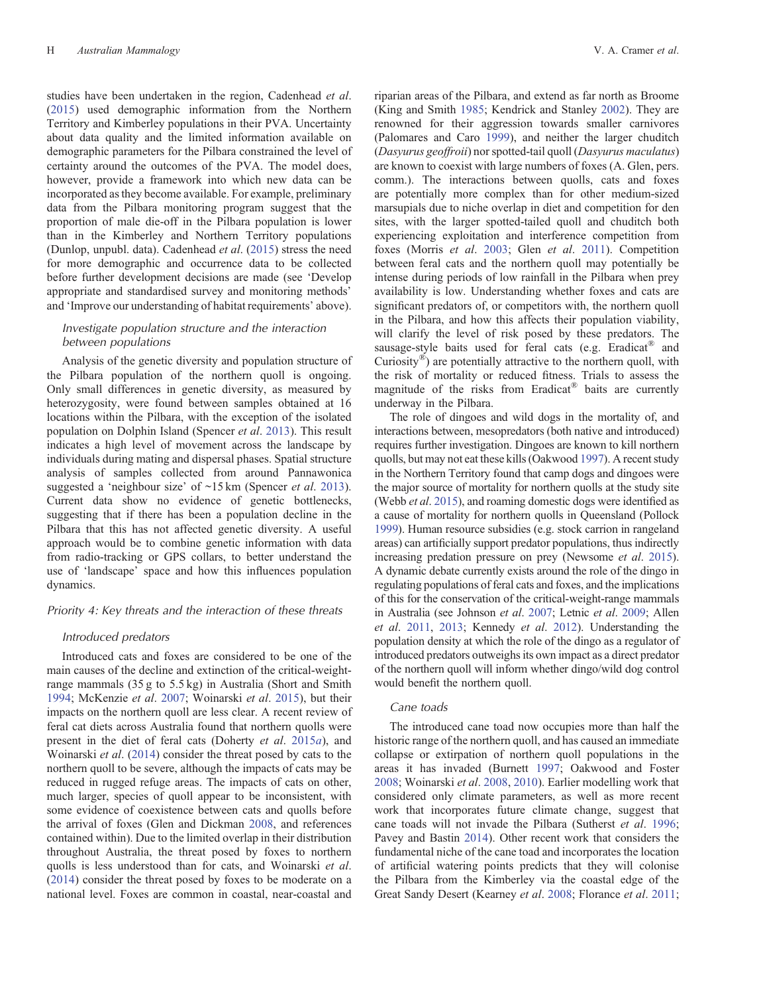studies have been undertaken in the region, Cadenhead *et al*. ([2015\)](#page-11-0) used demographic information from the Northern Territory and Kimberley populations in their PVA. Uncertainty about data quality and the limited information available on demographic parameters for the Pilbara constrained the level of certainty around the outcomes of the PVA. The model does, however, provide a framework into which new data can be incorporated as they become available. For example, preliminary data from the Pilbara monitoring program suggest that the proportion of male die-off in the Pilbara population is lower than in the Kimberley and Northern Territory populations (Dunlop, unpubl. data). Cadenhead *et al*. [\(2015](#page-11-0)) stress the need for more demographic and occurrence data to be collected before further development decisions are made (see 'Develop appropriate and standardised survey and monitoring methods' and 'Improve our understanding of habitat requirements' above).

## *Investigate population structure and the interaction between populations*

Analysis of the genetic diversity and population structure of the Pilbara population of the northern quoll is ongoing. Only small differences in genetic diversity, as measured by heterozygosity, were found between samples obtained at 16 locations within the Pilbara, with the exception of the isolated population on Dolphin Island (Spencer *et al*. [2013\)](#page-13-0). This result indicates a high level of movement across the landscape by individuals during mating and dispersal phases. Spatial structure analysis of samples collected from around Pannawonica suggested a 'neighbour size' of ~15 km (Spencer *et al*. [2013](#page-13-0)). Current data show no evidence of genetic bottlenecks, suggesting that if there has been a population decline in the Pilbara that this has not affected genetic diversity. A useful approach would be to combine genetic information with data from radio-tracking or GPS collars, to better understand the use of 'landscape' space and how this influences population dynamics.

## *Priority 4: Key threats and the interaction of these threats*

## *Introduced predators*

Introduced cats and foxes are considered to be one of the main causes of the decline and extinction of the critical-weightrange mammals (35 g to 5.5 kg) in Australia (Short and Smith [1994;](#page-13-0) McKenzie *et al*. [2007](#page-12-0); Woinarski *et al*. [2015\)](#page-13-0), but their impacts on the northern quoll are less clear. A recent review of feral cat diets across Australia found that northern quolls were present in the diet of feral cats (Doherty *et al*. [2015](#page-11-0)*a*), and Woinarski *et al*. [\(2014](#page-13-0)) consider the threat posed by cats to the northern quoll to be severe, although the impacts of cats may be reduced in rugged refuge areas. The impacts of cats on other, much larger, species of quoll appear to be inconsistent, with some evidence of coexistence between cats and quolls before the arrival of foxes (Glen and Dickman [2008](#page-11-0), and references contained within). Due to the limited overlap in their distribution throughout Australia, the threat posed by foxes to northern quolls is less understood than for cats, and Woinarski *et al*. ([2014\)](#page-13-0) consider the threat posed by foxes to be moderate on a national level. Foxes are common in coastal, near-coastal and riparian areas of the Pilbara, and extend as far north as Broome (King and Smith [1985;](#page-12-0) Kendrick and Stanley [2002\)](#page-12-0). They are renowned for their aggression towards smaller carnivores (Palomares and Caro [1999](#page-12-0)), and neither the larger chuditch (*Dasyurus geoffroii*) nor spotted-tail quoll (*Dasyurus maculatus*) are known to coexist with large numbers of foxes (A. Glen, pers. comm.). The interactions between quolls, cats and foxes are potentially more complex than for other medium-sized marsupials due to niche overlap in diet and competition for den sites, with the larger spotted-tailed quoll and chuditch both experiencing exploitation and interference competition from foxes (Morris *et al*. [2003;](#page-12-0) Glen *et al*. [2011](#page-11-0)). Competition between feral cats and the northern quoll may potentially be intense during periods of low rainfall in the Pilbara when prey availability is low. Understanding whether foxes and cats are significant predators of, or competitors with, the northern quoll in the Pilbara, and how this affects their population viability, will clarify the level of risk posed by these predators. The sausage-style baits used for feral cats (e.g. Eradicat® and Curiosity<sup>®</sup>) are potentially attractive to the northern quoll, with the risk of mortality or reduced fitness. Trials to assess the magnitude of the risks from Eradicat® baits are currently underway in the Pilbara.

The role of dingoes and wild dogs in the mortality of, and interactions between, mesopredators (both native and introduced) requires further investigation. Dingoes are known to kill northern quolls, but may not eat these kills (Oakwood [1997\)](#page-12-0). A recent study in the Northern Territory found that camp dogs and dingoes were the major source of mortality for northern quolls at the study site (Webb *et al*. [2015](#page-13-0)), and roaming domestic dogs were identified as a cause of mortality for northern quolls in Queensland (Pollock [1999](#page-12-0)). Human resource subsidies (e.g. stock carrion in rangeland areas) can artificially support predator populations, thus indirectly increasing predation pressure on prey (Newsome *et al*. [2015\)](#page-12-0). A dynamic debate currently exists around the role of the dingo in regulating populations of feral cats and foxes, and the implications of this for the conservation of the critical-weight-range mammals in Australia (see Johnson *et al*. [2007](#page-12-0); Letnic *et al*. [2009;](#page-12-0) Allen *et al*. [2011,](#page-11-0) [2013](#page-11-0); Kennedy *et al*. [2012\)](#page-12-0). Understanding the population density at which the role of the dingo as a regulator of introduced predators outweighs its own impact as a direct predator of the northern quoll will inform whether dingo/wild dog control would benefit the northern quoll.

## *Cane toads*

The introduced cane toad now occupies more than half the historic range of the northern quoll, and has caused an immediate collapse or extirpation of northern quoll populations in the areas it has invaded (Burnett [1997](#page-11-0); Oakwood and Foster [2008;](#page-12-0) Woinarski *et al*. [2008](#page-13-0), [2010](#page-13-0)). Earlier modelling work that considered only climate parameters, as well as more recent work that incorporates future climate change, suggest that cane toads will not invade the Pilbara (Sutherst *et al*. [1996](#page-13-0); Pavey and Bastin [2014](#page-12-0)). Other recent work that considers the fundamental niche of the cane toad and incorporates the location of artificial watering points predicts that they will colonise the Pilbara from the Kimberley via the coastal edge of the Great Sandy Desert (Kearney *et al*. [2008;](#page-12-0) Florance *et al*. [2011](#page-11-0);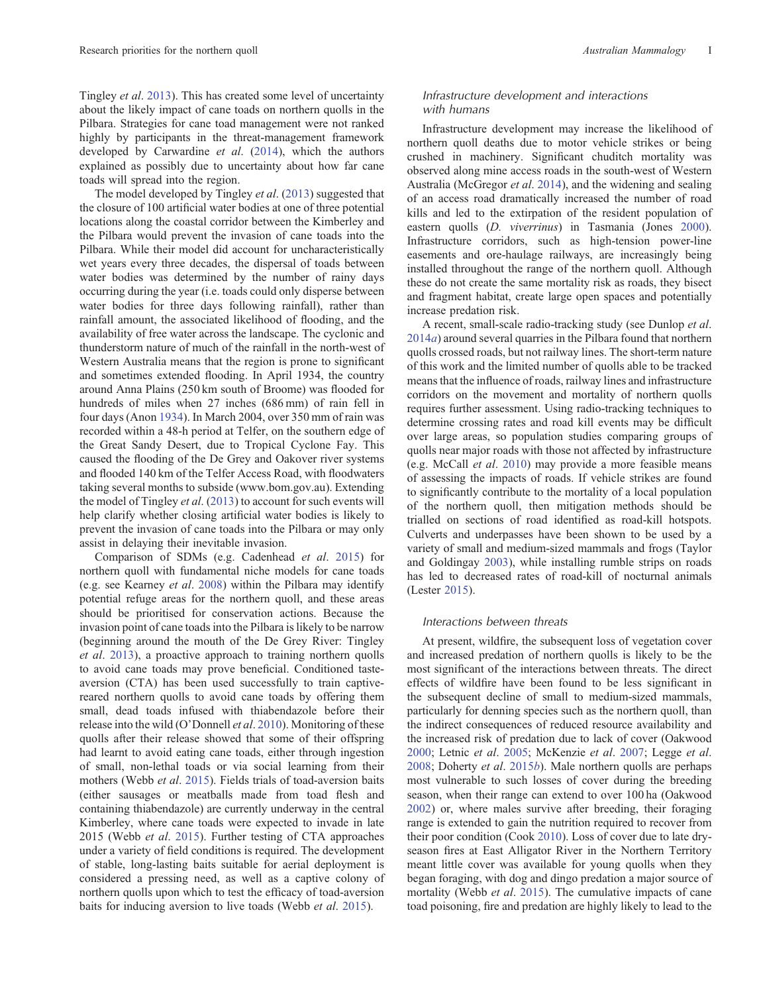Tingley *et al*. [2013](#page-13-0)). This has created some level of uncertainty about the likely impact of cane toads on northern quolls in the Pilbara. Strategies for cane toad management were not ranked highly by participants in the threat-management framework developed by Carwardine *et al*. ([2014](#page-11-0)), which the authors explained as possibly due to uncertainty about how far cane toads will spread into the region.

The model developed by Tingley *et al*. [\(2013](#page-13-0)) suggested that the closure of 100 artificial water bodies at one of three potential locations along the coastal corridor between the Kimberley and the Pilbara would prevent the invasion of cane toads into the Pilbara. While their model did account for uncharacteristically wet years every three decades, the dispersal of toads between water bodies was determined by the number of rainy days occurring during the year (i.e. toads could only disperse between water bodies for three days following rainfall), rather than rainfall amount, the associated likelihood of flooding, and the availability of free water across the landscape. The cyclonic and thunderstorm nature of much of the rainfall in the north-west of Western Australia means that the region is prone to significant and sometimes extended flooding. In April 1934, the country around Anna Plains (250 km south of Broome) was flooded for hundreds of miles when 27 inches (686 mm) of rain fell in four days (Anon [1934\)](#page-11-0). In March 2004, over 350 mm of rain was recorded within a 48-h period at Telfer, on the southern edge of the Great Sandy Desert, due to Tropical Cyclone Fay. This caused the flooding of the De Grey and Oakover river systems and flooded 140 km of the Telfer Access Road, with floodwaters taking several months to subside [\(www.bom.gov.au](http://www.bom.gov.au)). Extending the model of Tingley *et al*. [\(2013\)](#page-13-0) to account for such events will help clarify whether closing artificial water bodies is likely to prevent the invasion of cane toads into the Pilbara or may only assist in delaying their inevitable invasion.

Comparison of SDMs (e.g. Cadenhead *et al*. [2015](#page-11-0)) for northern quoll with fundamental niche models for cane toads (e.g. see Kearney *et al*. [2008\)](#page-12-0) within the Pilbara may identify potential refuge areas for the northern quoll, and these areas should be prioritised for conservation actions. Because the invasion point of cane toads into the Pilbara is likely to be narrow (beginning around the mouth of the De Grey River: Tingley *et al*. [2013](#page-13-0)), a proactive approach to training northern quolls to avoid cane toads may prove beneficial. Conditioned tasteaversion (CTA) has been used successfully to train captivereared northern quolls to avoid cane toads by offering them small, dead toads infused with thiabendazole before their release into the wild (O'Donnell *et al*. [2010](#page-12-0)). Monitoring of these quolls after their release showed that some of their offspring had learnt to avoid eating cane toads, either through ingestion of small, non-lethal toads or via social learning from their mothers (Webb *et al*. [2015](#page-13-0)). Fields trials of toad-aversion baits (either sausages or meatballs made from toad flesh and containing thiabendazole) are currently underway in the central Kimberley, where cane toads were expected to invade in late 2015 (Webb *et al*. [2015\)](#page-13-0). Further testing of CTA approaches under a variety of field conditions is required. The development of stable, long-lasting baits suitable for aerial deployment is considered a pressing need, as well as a captive colony of northern quolls upon which to test the efficacy of toad-aversion baits for inducing aversion to live toads (Webb *et al*. [2015\)](#page-13-0).

## *Infrastructure development and interactions with humans*

Infrastructure development may increase the likelihood of northern quoll deaths due to motor vehicle strikes or being crushed in machinery. Significant chuditch mortality was observed along mine access roads in the south-west of Western Australia (McGregor *et al*. [2014\)](#page-12-0), and the widening and sealing of an access road dramatically increased the number of road kills and led to the extirpation of the resident population of eastern quolls (*D. viverrinus*) in Tasmania (Jones [2000](#page-12-0)). Infrastructure corridors, such as high-tension power-line easements and ore-haulage railways, are increasingly being installed throughout the range of the northern quoll. Although these do not create the same mortality risk as roads, they bisect and fragment habitat, create large open spaces and potentially increase predation risk.

A recent, small-scale radio-tracking study (see Dunlop *et al*. [2014](#page-11-0)*a*) around several quarries in the Pilbara found that northern quolls crossed roads, but not railway lines. The short-term nature of this work and the limited number of quolls able to be tracked means that the influence of roads, railway lines and infrastructure corridors on the movement and mortality of northern quolls requires further assessment. Using radio-tracking techniques to determine crossing rates and road kill events may be difficult over large areas, so population studies comparing groups of quolls near major roads with those not affected by infrastructure (e.g. McCall *et al*. [2010](#page-12-0)) may provide a more feasible means of assessing the impacts of roads. If vehicle strikes are found to significantly contribute to the mortality of a local population of the northern quoll, then mitigation methods should be trialled on sections of road identified as road-kill hotspots. Culverts and underpasses have been shown to be used by a variety of small and medium-sized mammals and frogs (Taylor and Goldingay [2003](#page-13-0)), while installing rumble strips on roads has led to decreased rates of road-kill of nocturnal animals (Lester [2015\)](#page-12-0).

## *Interactions between threats*

At present, wildfire, the subsequent loss of vegetation cover and increased predation of northern quolls is likely to be the most significant of the interactions between threats. The direct effects of wildfire have been found to be less significant in the subsequent decline of small to medium-sized mammals, particularly for denning species such as the northern quoll, than the indirect consequences of reduced resource availability and the increased risk of predation due to lack of cover (Oakwood [2000](#page-12-0); Letnic *et al*. [2005](#page-12-0); McKenzie *et al*. [2007](#page-12-0); Legge *et al*. [2008](#page-12-0); Doherty *et al*. [2015](#page-11-0)*b*). Male northern quolls are perhaps most vulnerable to such losses of cover during the breeding season, when their range can extend to over 100 ha (Oakwood [2002](#page-12-0)) or, where males survive after breeding, their foraging range is extended to gain the nutrition required to recover from their poor condition (Cook [2010\)](#page-11-0). Loss of cover due to late dryseason fires at East Alligator River in the Northern Territory meant little cover was available for young quolls when they began foraging, with dog and dingo predation a major source of mortality (Webb *et al*. [2015](#page-13-0)). The cumulative impacts of cane toad poisoning, fire and predation are highly likely to lead to the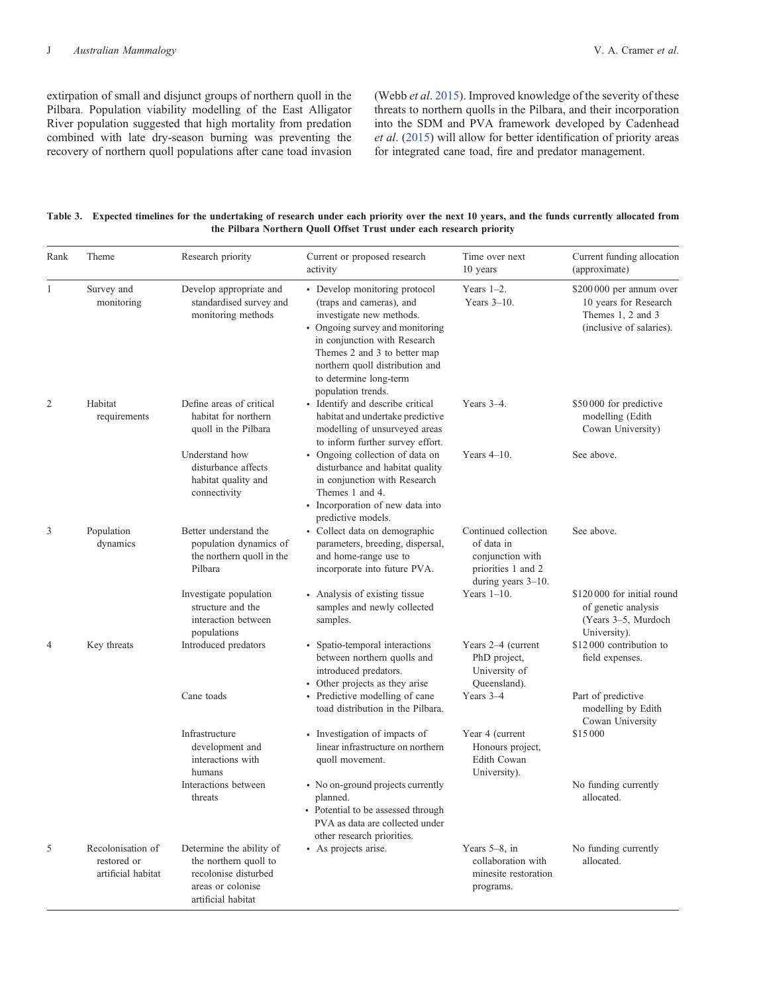<span id="page-9-0"></span>extirpation of small and disjunct groups of northern quoll in the Pilbara. Population viability modelling of the East Alligator River population suggested that high mortality from predation combined with late dry-season burning was preventing the recovery of northern quoll populations after cane toad invasion (Webb *et al*. [2015](#page-13-0)). Improved knowledge of the severity of these threats to northern quolls in the Pilbara, and their incorporation into the SDM and PVA framework developed by Cadenhead *et al*. [\(2015](#page-11-0)) will allow for better identification of priority areas for integrated cane toad, fire and predator management.

| Table 3. Expected timelines for the undertaking of research under each priority over the next 10 years, and the funds currently allocated from |
|------------------------------------------------------------------------------------------------------------------------------------------------|
| the Pilbara Northern Quoll Offset Trust under each research priority                                                                           |

| Rank           | Theme                                                  | Research priority                                                                                                    | Current or proposed research<br>activity                                                                                                                                                                                                                                    | Time over next<br>10 years                                                                            | Current funding allocation<br>(approximate)                                                        |
|----------------|--------------------------------------------------------|----------------------------------------------------------------------------------------------------------------------|-----------------------------------------------------------------------------------------------------------------------------------------------------------------------------------------------------------------------------------------------------------------------------|-------------------------------------------------------------------------------------------------------|----------------------------------------------------------------------------------------------------|
| 1              | Survey and<br>monitoring                               | Develop appropriate and<br>standardised survey and<br>monitoring methods                                             | • Develop monitoring protocol<br>(traps and cameras), and<br>investigate new methods.<br>• Ongoing survey and monitoring<br>in conjunction with Research<br>Themes 2 and 3 to better map<br>northern quoll distribution and<br>to determine long-term<br>population trends. | Years $1-2$ .<br>Years $3-10$ .                                                                       | \$200 000 per annum over<br>10 years for Research<br>Themes 1, 2 and 3<br>(inclusive of salaries). |
| $\overline{2}$ | Habitat<br>requirements                                | Define areas of critical<br>habitat for northern<br>quoll in the Pilbara                                             | · Identify and describe critical<br>habitat and undertake predictive<br>modelling of unsurveyed areas<br>to inform further survey effort.                                                                                                                                   | Years $3-4$ .                                                                                         | \$50 000 for predictive<br>modelling (Edith<br>Cowan University)                                   |
|                |                                                        | Understand how<br>disturbance affects<br>habitat quality and<br>connectivity                                         | • Ongoing collection of data on<br>disturbance and habitat quality<br>in conjunction with Research<br>Themes 1 and 4.<br>· Incorporation of new data into<br>predictive models.                                                                                             | Years $4-10$ .                                                                                        | See above.                                                                                         |
| 3              | Population<br>dynamics                                 | Better understand the<br>population dynamics of<br>the northern quoll in the<br>Pilbara                              | • Collect data on demographic<br>parameters, breeding, dispersal,<br>and home-range use to<br>incorporate into future PVA.                                                                                                                                                  | Continued collection<br>of data in<br>conjunction with<br>priorities 1 and 2<br>during years $3-10$ . | See above.                                                                                         |
|                |                                                        | Investigate population<br>structure and the<br>interaction between<br>populations                                    | • Analysis of existing tissue<br>samples and newly collected<br>samples.                                                                                                                                                                                                    | Years $1-10$ .                                                                                        | \$120 000 for initial round<br>of genetic analysis<br>(Years 3-5, Murdoch<br>University).          |
| $\overline{4}$ | Key threats                                            | Introduced predators                                                                                                 | • Spatio-temporal interactions<br>between northern quolls and<br>introduced predators.<br>• Other projects as they arise                                                                                                                                                    | Years 2–4 (current<br>PhD project,<br>University of<br>Queensland).                                   | \$12000 contribution to<br>field expenses.                                                         |
|                |                                                        | Cane toads                                                                                                           | • Predictive modelling of cane<br>toad distribution in the Pilbara.                                                                                                                                                                                                         | Years 3-4                                                                                             | Part of predictive<br>modelling by Edith<br>Cowan University                                       |
|                |                                                        | Infrastructure<br>development and<br>interactions with<br>humans                                                     | • Investigation of impacts of<br>linear infrastructure on northern<br>quoll movement.                                                                                                                                                                                       | Year 4 (current<br>Honours project,<br>Edith Cowan<br>University).                                    | \$15000                                                                                            |
|                |                                                        | Interactions between<br>threats                                                                                      | • No on-ground projects currently<br>planned.<br>• Potential to be assessed through<br>PVA as data are collected under<br>other research priorities.                                                                                                                        |                                                                                                       | No funding currently<br>allocated.                                                                 |
| 5              | Recolonisation of<br>restored or<br>artificial habitat | Determine the ability of<br>the northern quoll to<br>recolonise disturbed<br>areas or colonise<br>artificial habitat | • As projects arise.                                                                                                                                                                                                                                                        | Years $5-8$ , in<br>collaboration with<br>minesite restoration<br>programs.                           | No funding currently<br>allocated.                                                                 |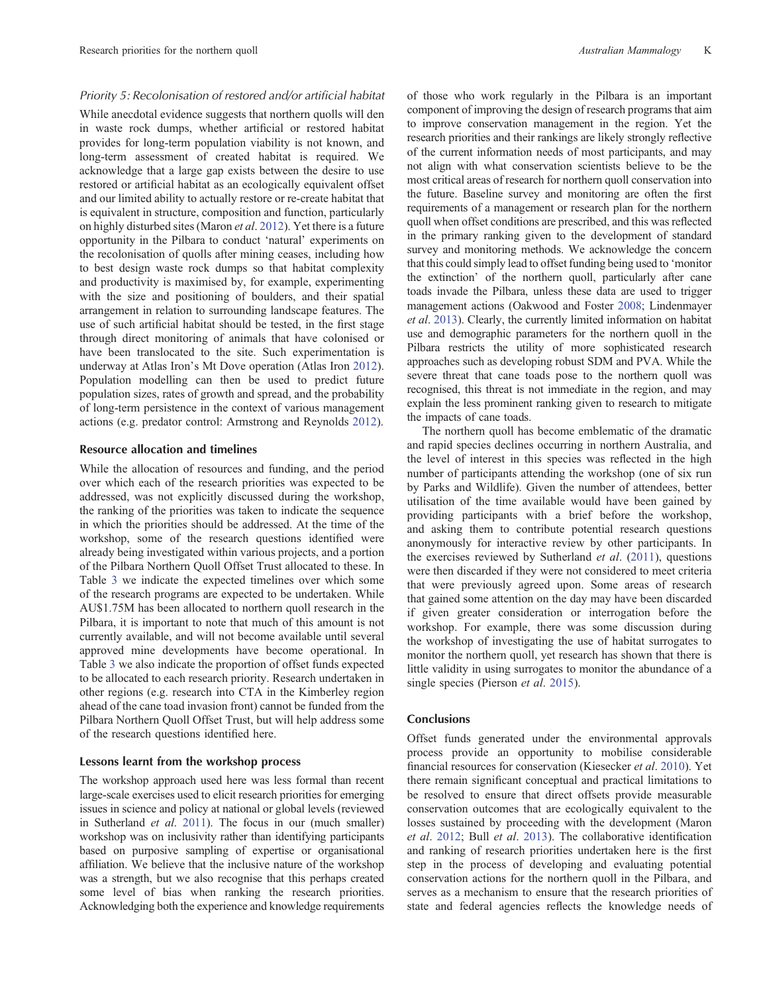## *Priority 5: Recolonisation of restored and/or artificial habitat*

While anecdotal evidence suggests that northern quolls will den in waste rock dumps, whether artificial or restored habitat provides for long-term population viability is not known, and long-term assessment of created habitat is required. We acknowledge that a large gap exists between the desire to use restored or artificial habitat as an ecologically equivalent offset and our limited ability to actually restore or re-create habitat that is equivalent in structure, composition and function, particularly on highly disturbed sites (Maron *et al*. [2012\)](#page-12-0). Yet there is a future opportunity in the Pilbara to conduct 'natural' experiments on the recolonisation of quolls after mining ceases, including how to best design waste rock dumps so that habitat complexity and productivity is maximised by, for example, experimenting with the size and positioning of boulders, and their spatial arrangement in relation to surrounding landscape features. The use of such artificial habitat should be tested, in the first stage through direct monitoring of animals that have colonised or have been translocated to the site. Such experimentation is underway at Atlas Iron's Mt Dove operation (Atlas Iron [2012](#page-11-0)). Population modelling can then be used to predict future population sizes, rates of growth and spread, and the probability of long-term persistence in the context of various management actions (e.g. predator control: Armstrong and Reynolds [2012\)](#page-11-0).

#### **Resource allocation and timelines**

While the allocation of resources and funding, and the period over which each of the research priorities was expected to be addressed, was not explicitly discussed during the workshop, the ranking of the priorities was taken to indicate the sequence in which the priorities should be addressed. At the time of the workshop, some of the research questions identified were already being investigated within various projects, and a portion of the Pilbara Northern Quoll Offset Trust allocated to these. In Table [3](#page-9-0) we indicate the expected timelines over which some of the research programs are expected to be undertaken. While AU\$1.75M has been allocated to northern quoll research in the Pilbara, it is important to note that much of this amount is not currently available, and will not become available until several approved mine developments have become operational. In Table [3](#page-9-0) we also indicate the proportion of offset funds expected to be allocated to each research priority. Research undertaken in other regions (e.g. research into CTA in the Kimberley region ahead of the cane toad invasion front) cannot be funded from the Pilbara Northern Quoll Offset Trust, but will help address some of the research questions identified here.

## **Lessons learnt from the workshop process**

The workshop approach used here was less formal than recent large-scale exercises used to elicit research priorities for emerging issues in science and policy at national or global levels (reviewed in Sutherland *et al*. [2011\)](#page-13-0). The focus in our (much smaller) workshop was on inclusivity rather than identifying participants based on purposive sampling of expertise or organisational affiliation. We believe that the inclusive nature of the workshop was a strength, but we also recognise that this perhaps created some level of bias when ranking the research priorities. Acknowledging both the experience and knowledge requirements of those who work regularly in the Pilbara is an important component of improving the design of research programs that aim to improve conservation management in the region. Yet the research priorities and their rankings are likely strongly reflective of the current information needs of most participants, and may not align with what conservation scientists believe to be the most critical areas of research for northern quoll conservation into the future. Baseline survey and monitoring are often the first requirements of a management or research plan for the northern quoll when offset conditions are prescribed, and this was reflected in the primary ranking given to the development of standard survey and monitoring methods. We acknowledge the concern that this could simply lead to offset funding being used to 'monitor the extinction' of the northern quoll, particularly after cane toads invade the Pilbara, unless these data are used to trigger management actions (Oakwood and Foster [2008](#page-12-0); Lindenmayer *et al*. [2013](#page-12-0)). Clearly, the currently limited information on habitat use and demographic parameters for the northern quoll in the Pilbara restricts the utility of more sophisticated research approaches such as developing robust SDM and PVA. While the severe threat that cane toads pose to the northern quoll was recognised, this threat is not immediate in the region, and may explain the less prominent ranking given to research to mitigate the impacts of cane toads.

The northern quoll has become emblematic of the dramatic and rapid species declines occurring in northern Australia, and the level of interest in this species was reflected in the high number of participants attending the workshop (one of six run by Parks and Wildlife). Given the number of attendees, better utilisation of the time available would have been gained by providing participants with a brief before the workshop, and asking them to contribute potential research questions anonymously for interactive review by other participants. In the exercises reviewed by Sutherland *et al*. ([2011\)](#page-13-0), questions were then discarded if they were not considered to meet criteria that were previously agreed upon. Some areas of research that gained some attention on the day may have been discarded if given greater consideration or interrogation before the workshop. For example, there was some discussion during the workshop of investigating the use of habitat surrogates to monitor the northern quoll, yet research has shown that there is little validity in using surrogates to monitor the abundance of a single species (Pierson *et al*. [2015](#page-12-0)).

## **Conclusions**

Offset funds generated under the environmental approvals process provide an opportunity to mobilise considerable financial resources for conservation (Kiesecker *et al*. [2010](#page-12-0)). Yet there remain significant conceptual and practical limitations to be resolved to ensure that direct offsets provide measurable conservation outcomes that are ecologically equivalent to the losses sustained by proceeding with the development (Maron *et al*. [2012;](#page-12-0) Bull *et al*. [2013\)](#page-11-0). The collaborative identification and ranking of research priorities undertaken here is the first step in the process of developing and evaluating potential conservation actions for the northern quoll in the Pilbara, and serves as a mechanism to ensure that the research priorities of state and federal agencies reflects the knowledge needs of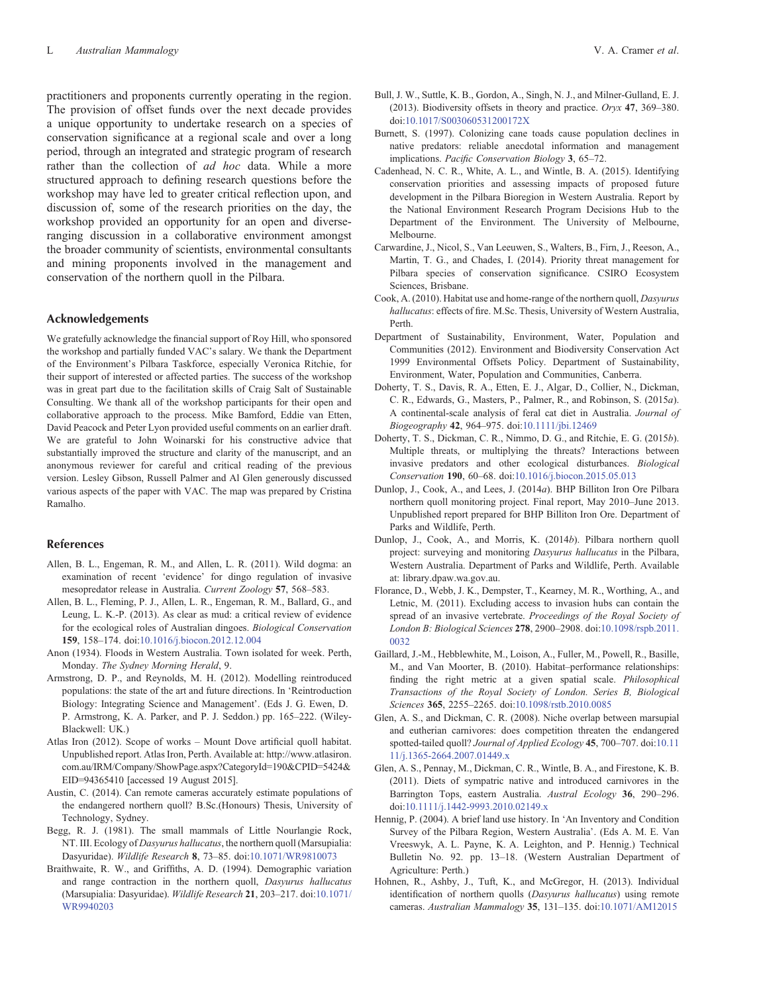<span id="page-11-0"></span>practitioners and proponents currently operating in the region. The provision of offset funds over the next decade provides a unique opportunity to undertake research on a species of conservation significance at a regional scale and over a long period, through an integrated and strategic program of research rather than the collection of *ad hoc* data. While a more structured approach to defining research questions before the workshop may have led to greater critical reflection upon, and discussion of, some of the research priorities on the day, the workshop provided an opportunity for an open and diverseranging discussion in a collaborative environment amongst the broader community of scientists, environmental consultants and mining proponents involved in the management and conservation of the northern quoll in the Pilbara.

### **Acknowledgements**

We gratefully acknowledge the financial support of Roy Hill, who sponsored the workshop and partially funded VAC's salary. We thank the Department of the Environment's Pilbara Taskforce, especially Veronica Ritchie, for their support of interested or affected parties. The success of the workshop was in great part due to the facilitation skills of Craig Salt of Sustainable Consulting. We thank all of the workshop participants for their open and collaborative approach to the process. Mike Bamford, Eddie van Etten, David Peacock and Peter Lyon provided useful comments on an earlier draft. We are grateful to John Woinarski for his constructive advice that substantially improved the structure and clarity of the manuscript, and an anonymous reviewer for careful and critical reading of the previous version. Lesley Gibson, Russell Palmer and Al Glen generously discussed various aspects of the paper with VAC. The map was prepared by Cristina Ramalho.

#### **References**

- Allen, B. L., Engeman, R. M., and Allen, L. R. (2011). Wild dogma: an examination of recent 'evidence' for dingo regulation of invasive mesopredator release in Australia. *Current Zoology* **57**, 568–583.
- Allen, B. L., Fleming, P. J., Allen, L. R., Engeman, R. M., Ballard, G., and Leung, L. K.-P. (2013). As clear as mud: a critical review of evidence for the ecological roles of Australian dingoes. *Biological Conservation* **159**, 158–174. doi:[10.1016/j.biocon.2012.12.004](dx.doi.org/10.1016/j.biocon.2012.12.004)
- Anon (1934). Floods in Western Australia. Town isolated for week. Perth, Monday. *The Sydney Morning Herald*, 9.
- Armstrong, D. P., and Reynolds, M. H. (2012). Modelling reintroduced populations: the state of the art and future directions. In 'Reintroduction Biology: Integrating Science and Management'. (Eds J. G. Ewen, D. P. Armstrong, K. A. Parker, and P. J. Seddon.) pp. 165–222. (Wiley-Blackwell: UK.)
- Atlas Iron (2012). Scope of works Mount Dove artificial quoll habitat. Unpublished report. Atlas Iron, Perth. Available at: [http://www.atlasiron.](http://www.atlasiron.com.au/IRM/Company/ShowPage.aspx?CategoryId=190&CPID=5424&EID=94365410) [com.au/IRM/Company/ShowPage.aspx?CategoryId=190&CPID=5424](http://www.atlasiron.com.au/IRM/Company/ShowPage.aspx?CategoryId=190&CPID=5424&EID=94365410)& [EID=94365410](http://www.atlasiron.com.au/IRM/Company/ShowPage.aspx?CategoryId=190&CPID=5424&EID=94365410) [accessed 19 August 2015].
- Austin, C. (2014). Can remote cameras accurately estimate populations of the endangered northern quoll? B.Sc.(Honours) Thesis, University of Technology, Sydney.
- Begg, R. J. (1981). The small mammals of Little Nourlangie Rock, NT. III. Ecology of *Dasyurus hallucatus*, the northern quoll (Marsupialia: Dasyuridae). *Wildlife Research* **8**, 73–85. doi[:10.1071/WR9810073](dx.doi.org/10.1071/WR9810073)
- Braithwaite, R. W., and Griffiths, A. D. (1994). Demographic variation and range contraction in the northern quoll, *Dasyurus hallucatus* (Marsupialia: Dasyuridae). *Wildlife Research* **21**, 203–217. doi:[10.1071/](dx.doi.org/10.1071/WR9940203) [WR9940203](dx.doi.org/10.1071/WR9940203)
- Bull, J. W., Suttle, K. B., Gordon, A., Singh, N. J., and Milner-Gulland, E. J. (2013). Biodiversity offsets in theory and practice. *Oryx* **47**, 369–380. doi[:10.1017/S003060531200172X](dx.doi.org/10.1017/S003060531200172X)
- Burnett, S. (1997). Colonizing cane toads cause population declines in native predators: reliable anecdotal information and management implications. *Pacific Conservation Biology* **3**, 65–72.
- Cadenhead, N. C. R., White, A. L., and Wintle, B. A. (2015). Identifying conservation priorities and assessing impacts of proposed future development in the Pilbara Bioregion in Western Australia. Report by the National Environment Research Program Decisions Hub to the Department of the Environment. The University of Melbourne, Melbourne.
- Carwardine, J., Nicol, S., Van Leeuwen, S., Walters, B., Firn, J., Reeson, A., Martin, T. G., and Chades, I. (2014). Priority threat management for Pilbara species of conservation significance. CSIRO Ecosystem Sciences, Brisbane.
- Cook, A. (2010). Habitat use and home-range of the northern quoll, *Dasyurus hallucatus*: effects of fire. M.Sc. Thesis, University of Western Australia, Perth.
- Department of Sustainability, Environment, Water, Population and Communities (2012). Environment and Biodiversity Conservation Act 1999 Environmental Offsets Policy. Department of Sustainability, Environment, Water, Population and Communities, Canberra.
- Doherty, T. S., Davis, R. A., Etten, E. J., Algar, D., Collier, N., Dickman, C. R., Edwards, G., Masters, P., Palmer, R., and Robinson, S. (2015*a*). A continental-scale analysis of feral cat diet in Australia. *Journal of Biogeography* **42**, 964–975. doi[:10.1111/jbi.12469](dx.doi.org/10.1111/jbi.12469)
- Doherty, T. S., Dickman, C. R., Nimmo, D. G., and Ritchie, E. G. (2015*b*). Multiple threats, or multiplying the threats? Interactions between invasive predators and other ecological disturbances. *Biological Conservation* **190**, 60–68. doi:[10.1016/j.biocon.2015.05.013](dx.doi.org/10.1016/j.biocon.2015.05.013)
- Dunlop, J., Cook, A., and Lees, J. (2014*a*). BHP Billiton Iron Ore Pilbara northern quoll monitoring project. Final report, May 2010–June 2013. Unpublished report prepared for BHP Billiton Iron Ore. Department of Parks and Wildlife, Perth.
- Dunlop, J., Cook, A., and Morris, K. (2014*b*). Pilbara northern quoll project: surveying and monitoring *Dasyurus hallucatus* in the Pilbara, Western Australia. Department of Parks and Wildlife, Perth. Available at: [library.dpaw.wa.gov.au.](http://library.dpaw.wa.gov.au)
- Florance, D., Webb, J. K., Dempster, T., Kearney, M. R., Worthing, A., and Letnic, M. (2011). Excluding access to invasion hubs can contain the spread of an invasive vertebrate. *Proceedings of the Royal Society of London B: Biological Sciences* **278**, 2900–2908. doi[:10.1098/rspb.2011.](dx.doi.org/10.1098/rspb.2011.0032) [0032](dx.doi.org/10.1098/rspb.2011.0032)
- Gaillard, J.-M., Hebblewhite, M., Loison, A., Fuller, M., Powell, R., Basille, M., and Van Moorter, B. (2010). Habitat–performance relationships: finding the right metric at a given spatial scale. *Philosophical Transactions of the Royal Society of London. Series B, Biological Sciences* **365**, 2255–2265. doi[:10.1098/rstb.2010.0085](dx.doi.org/10.1098/rstb.2010.0085)
- Glen, A. S., and Dickman, C. R. (2008). Niche overlap between marsupial and eutherian carnivores: does competition threaten the endangered spotted-tailed quoll? *Journal of Applied Ecology* **45**, 700–707. doi[:10.11](dx.doi.org/10.1111/j.1365-2664.2007.01449.x) [11/j.1365-2664.2007.01449.x](dx.doi.org/10.1111/j.1365-2664.2007.01449.x)
- Glen, A. S., Pennay, M., Dickman, C. R., Wintle, B. A., and Firestone, K. B. (2011). Diets of sympatric native and introduced carnivores in the Barrington Tops, eastern Australia. *Austral Ecology* **36**, 290–296. doi[:10.1111/j.1442-9993.2010.02149.x](dx.doi.org/10.1111/j.1442-9993.2010.02149.x)
- Hennig, P. (2004). A brief land use history. In 'An Inventory and Condition Survey of the Pilbara Region, Western Australia'. (Eds A. M. E. Van Vreeswyk, A. L. Payne, K. A. Leighton, and P. Hennig.) Technical Bulletin No. 92. pp. 13–18. (Western Australian Department of Agriculture: Perth.)
- Hohnen, R., Ashby, J., Tuft, K., and McGregor, H. (2013). Individual identification of northern quolls (*Dasyurus hallucatus*) using remote cameras. *Australian Mammalogy* **35**, 131–135. doi:[10.1071/AM12015](dx.doi.org/10.1071/AM12015)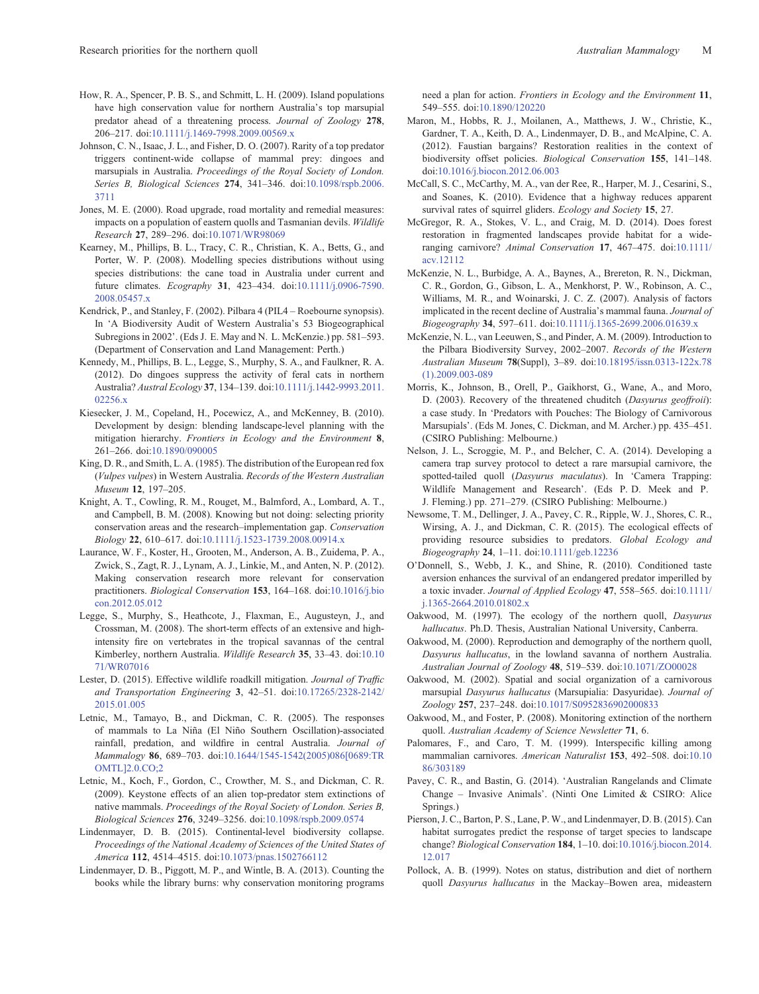- <span id="page-12-0"></span>How, R. A., Spencer, P. B. S., and Schmitt, L. H. (2009). Island populations have high conservation value for northern Australia's top marsupial predator ahead of a threatening process. *Journal of Zoology* **278**, 206–217. doi:[10.1111/j.1469-7998.2009.00569.x](dx.doi.org/10.1111/j.1469-7998.2009.00569.x)
- Johnson, C. N., Isaac, J. L., and Fisher, D. O. (2007). Rarity of a top predator triggers continent-wide collapse of mammal prey: dingoes and marsupials in Australia. *Proceedings of the Royal Society of London. Series B, Biological Sciences* **274**, 341–346. doi[:10.1098/rspb.2006.](dx.doi.org/10.1098/rspb.2006.3711) [3711](dx.doi.org/10.1098/rspb.2006.3711)
- Jones, M. E. (2000). Road upgrade, road mortality and remedial measures: impacts on a population of eastern quolls and Tasmanian devils. *Wildlife Research* **27**, 289–296. doi[:10.1071/WR98069](dx.doi.org/10.1071/WR98069)
- Kearney, M., Phillips, B. L., Tracy, C. R., Christian, K. A., Betts, G., and Porter, W. P. (2008). Modelling species distributions without using species distributions: the cane toad in Australia under current and future climates. *Ecography* **31**, 423–434. doi[:10.1111/j.0906-7590.](dx.doi.org/10.1111/j.0906-7590.2008.05457.x) [2008.05457.x](dx.doi.org/10.1111/j.0906-7590.2008.05457.x)
- Kendrick, P., and Stanley, F. (2002). Pilbara 4 (PIL4 Roebourne synopsis). In 'A Biodiversity Audit of Western Australia's 53 Biogeographical Subregions in 2002'. (Eds J. E. May and N. L. McKenzie.) pp. 581–593. (Department of Conservation and Land Management: Perth.)
- Kennedy, M., Phillips, B. L., Legge, S., Murphy, S. A., and Faulkner, R. A. (2012). Do dingoes suppress the activity of feral cats in northern Australia? *Austral Ecology* **37**, 134–139. doi[:10.1111/j.1442-9993.2011.](dx.doi.org/10.1111/j.1442-9993.2011.02256.x) [02256.x](dx.doi.org/10.1111/j.1442-9993.2011.02256.x)
- Kiesecker, J. M., Copeland, H., Pocewicz, A., and McKenney, B. (2010). Development by design: blending landscape-level planning with the mitigation hierarchy. *Frontiers in Ecology and the Environment* **8**, 261–266. doi:[10.1890/090005](dx.doi.org/10.1890/090005)
- King, D. R., and Smith, L. A. (1985). The distribution of the European red fox (*Vulpes vulpes*) in Western Australia. *Records of the Western Australian Museum* **12**, 197–205.
- Knight, A. T., Cowling, R. M., Rouget, M., Balmford, A., Lombard, A. T., and Campbell, B. M. (2008). Knowing but not doing: selecting priority conservation areas and the research–implementation gap. *Conservation Biology* **22**, 610–617. doi[:10.1111/j.1523-1739.2008.00914.x](dx.doi.org/10.1111/j.1523-1739.2008.00914.x)
- Laurance, W. F., Koster, H., Grooten, M., Anderson, A. B., Zuidema, P. A., Zwick, S., Zagt, R. J., Lynam, A. J., Linkie, M., and Anten, N. P. (2012). Making conservation research more relevant for conservation practitioners. *Biological Conservation* **153**, 164–168. doi[:10.1016/j.bio](dx.doi.org/10.1016/j.biocon.2012.05.012) [con.2012.05.012](dx.doi.org/10.1016/j.biocon.2012.05.012)
- Legge, S., Murphy, S., Heathcote, J., Flaxman, E., Augusteyn, J., and Crossman, M. (2008). The short-term effects of an extensive and highintensity fire on vertebrates in the tropical savannas of the central Kimberley, northern Australia. *Wildlife Research* **35**, 33–43. doi:[10.10](dx.doi.org/10.1071/WR07016) [71/WR07016](dx.doi.org/10.1071/WR07016)
- Lester, D. (2015). Effective wildlife roadkill mitigation. *Journal of Traffic and Transportation Engineering* **3**, 42–51. doi[:10.17265/2328-2142/](dx.doi.org/10.17265/2328-2142/2015.01.005) [2015.01.005](dx.doi.org/10.17265/2328-2142/2015.01.005)
- Letnic, M., Tamayo, B., and Dickman, C. R. (2005). The responses of mammals to La Niña (El Niño Southern Oscillation)-associated rainfall, predation, and wildfire in central Australia. *Journal of Mammalogy* **86**, 689–703. doi[:10.1644/1545-1542\(2005\)086\[0689:TR](dx.doi.org/10.1644/1545-1542(2005)086[0689:TROMTL]2.0.CO;2) [OMTL\]2.0.CO;2](dx.doi.org/10.1644/1545-1542(2005)086[0689:TROMTL]2.0.CO;2)
- Letnic, M., Koch, F., Gordon, C., Crowther, M. S., and Dickman, C. R. (2009). Keystone effects of an alien top-predator stem extinctions of native mammals. *Proceedings of the Royal Society of London. Series B, Biological Sciences* **276**, 3249–3256. doi[:10.1098/rspb.2009.0574](dx.doi.org/10.1098/rspb.2009.0574)
- Lindenmayer, D. B. (2015). Continental-level biodiversity collapse. *Proceedings of the National Academy of Sciences of the United States of America* **112**, 4514–4515. doi:[10.1073/pnas.1502766112](dx.doi.org/10.1073/pnas.1502766112)
- Lindenmayer, D. B., Piggott, M. P., and Wintle, B. A. (2013). Counting the books while the library burns: why conservation monitoring programs

need a plan for action. *Frontiers in Ecology and the Environment* **11**, 549–555. doi:[10.1890/120220](dx.doi.org/10.1890/120220)

- Maron, M., Hobbs, R. J., Moilanen, A., Matthews, J. W., Christie, K., Gardner, T. A., Keith, D. A., Lindenmayer, D. B., and McAlpine, C. A. (2012). Faustian bargains? Restoration realities in the context of biodiversity offset policies. *Biological Conservation* **155**, 141–148. doi:[10.1016/j.biocon.2012.06.003](dx.doi.org/10.1016/j.biocon.2012.06.003)
- McCall, S. C., McCarthy, M. A., van der Ree, R., Harper, M. J., Cesarini, S., and Soanes, K. (2010). Evidence that a highway reduces apparent survival rates of squirrel gliders. *Ecology and Society* **15**, 27.
- McGregor, R. A., Stokes, V. L., and Craig, M. D. (2014). Does forest restoration in fragmented landscapes provide habitat for a wideranging carnivore? *Animal Conservation* **17**, 467–475. doi:[10.1111/](dx.doi.org/10.1111/acv.12112) [acv.12112](dx.doi.org/10.1111/acv.12112)
- McKenzie, N. L., Burbidge, A. A., Baynes, A., Brereton, R. N., Dickman, C. R., Gordon, G., Gibson, L. A., Menkhorst, P. W., Robinson, A. C., Williams, M. R., and Woinarski, J. C. Z. (2007). Analysis of factors implicated in the recent decline of Australia's mammal fauna. *Journal of Biogeography* **34**, 597–611. doi:[10.1111/j.1365-2699.2006.01639.x](dx.doi.org/10.1111/j.1365-2699.2006.01639.x)
- McKenzie, N. L., van Leeuwen, S., and Pinder, A. M. (2009). Introduction to the Pilbara Biodiversity Survey, 2002–2007. *Records of the Western Australian Museum* **78**(Suppl), 3–89. doi[:10.18195/issn.0313-122x.78](dx.doi.org/10.18195/issn.0313-122x.78(1).2009.003-089) [\(1\).2009.003-089](dx.doi.org/10.18195/issn.0313-122x.78(1).2009.003-089)
- Morris, K., Johnson, B., Orell, P., Gaikhorst, G., Wane, A., and Moro, D. (2003). Recovery of the threatened chuditch (*Dasyurus geoffroii*): a case study. In 'Predators with Pouches: The Biology of Carnivorous Marsupials'. (Eds M. Jones, C. Dickman, and M. Archer.) pp. 435–451. (CSIRO Publishing: Melbourne.)
- Nelson, J. L., Scroggie, M. P., and Belcher, C. A. (2014). Developing a camera trap survey protocol to detect a rare marsupial carnivore, the spotted-tailed quoll (*Dasyurus maculatus*). In 'Camera Trapping: Wildlife Management and Research'. (Eds P. D. Meek and P. J. Fleming.) pp. 271–279. (CSIRO Publishing: Melbourne.)
- Newsome, T. M., Dellinger, J. A., Pavey, C. R., Ripple, W. J., Shores, C. R., Wirsing, A. J., and Dickman, C. R. (2015). The ecological effects of providing resource subsidies to predators. *Global Ecology and Biogeography* **24**, 1–11. doi:[10.1111/geb.12236](dx.doi.org/10.1111/geb.12236)
- O'Donnell, S., Webb, J. K., and Shine, R. (2010). Conditioned taste aversion enhances the survival of an endangered predator imperilled by a toxic invader. *Journal of Applied Ecology* **47**, 558–565. doi:[10.1111/](dx.doi.org/10.1111/j.1365-2664.2010.01802.x) [j.1365-2664.2010.01802.x](dx.doi.org/10.1111/j.1365-2664.2010.01802.x)
- Oakwood, M. (1997). The ecology of the northern quoll, *Dasyurus hallucatus*. Ph.D. Thesis, Australian National University, Canberra.
- Oakwood, M. (2000). Reproduction and demography of the northern quoll, *Dasyurus hallucatus*, in the lowland savanna of northern Australia. *Australian Journal of Zoology* **48**, 519–539. doi:[10.1071/ZO00028](dx.doi.org/10.1071/ZO00028)
- Oakwood, M. (2002). Spatial and social organization of a carnivorous marsupial *Dasyurus hallucatus* (Marsupialia: Dasyuridae). *Journal of Zoology* **257**, 237–248. doi:[10.1017/S0952836902000833](dx.doi.org/10.1017/S0952836902000833)
- Oakwood, M., and Foster, P. (2008). Monitoring extinction of the northern quoll. *Australian Academy of Science Newsletter* **71**, 6.
- Palomares, F., and Caro, T. M. (1999). Interspecific killing among mammalian carnivores. *American Naturalist* **153**, 492–508. doi:[10.10](dx.doi.org/10.1086/303189) [86/303189](dx.doi.org/10.1086/303189)
- Pavey, C. R., and Bastin, G. (2014). 'Australian Rangelands and Climate Change – Invasive Animals'. (Ninti One Limited & CSIRO: Alice Springs.)
- Pierson, J. C., Barton, P. S., Lane, P. W., and Lindenmayer, D. B. (2015). Can habitat surrogates predict the response of target species to landscape change? *Biological Conservation* **184**, 1–10. doi[:10.1016/j.biocon.2014.](dx.doi.org/10.1016/j.biocon.2014.12.017) [12.017](dx.doi.org/10.1016/j.biocon.2014.12.017)
- Pollock, A. B. (1999). Notes on status, distribution and diet of northern quoll *Dasyurus hallucatus* in the Mackay–Bowen area, mideastern